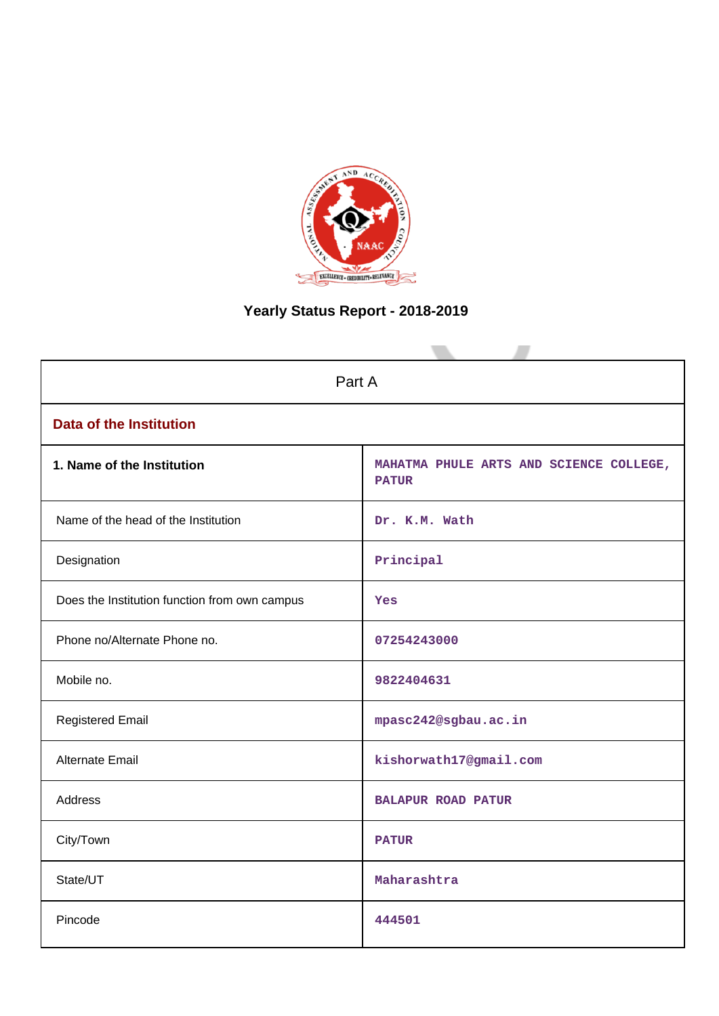

# **Yearly Status Report - 2018-2019**

| Part A                                        |                                                         |  |  |  |  |
|-----------------------------------------------|---------------------------------------------------------|--|--|--|--|
| <b>Data of the Institution</b>                |                                                         |  |  |  |  |
| 1. Name of the Institution                    | MAHATMA PHULE ARTS AND SCIENCE COLLEGE,<br><b>PATUR</b> |  |  |  |  |
| Name of the head of the Institution           | Dr. K.M. Wath                                           |  |  |  |  |
| Designation                                   | Principal                                               |  |  |  |  |
| Does the Institution function from own campus | Yes                                                     |  |  |  |  |
| Phone no/Alternate Phone no.                  | 07254243000                                             |  |  |  |  |
| Mobile no.                                    | 9822404631                                              |  |  |  |  |
| <b>Registered Email</b>                       | mpasc242@sgbau.ac.in                                    |  |  |  |  |
| Alternate Email                               | kishorwath17@gmail.com                                  |  |  |  |  |
| <b>Address</b>                                | <b>BALAPUR ROAD PATUR</b>                               |  |  |  |  |
| City/Town                                     | <b>PATUR</b>                                            |  |  |  |  |
| State/UT                                      | Maharashtra                                             |  |  |  |  |
| Pincode                                       | 444501                                                  |  |  |  |  |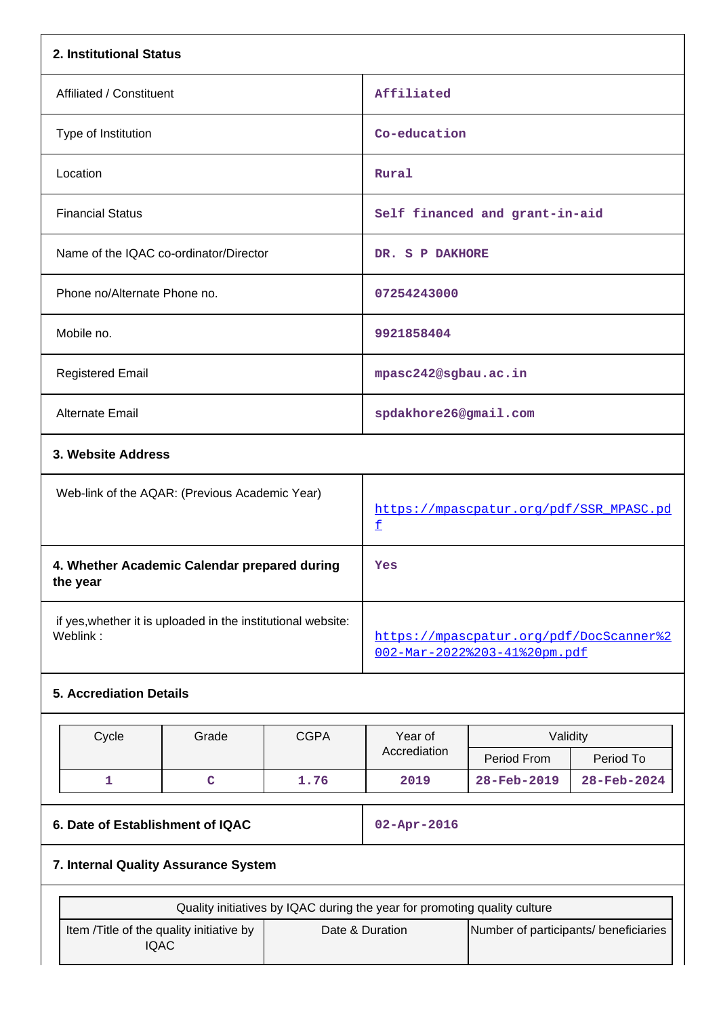| 2. Institutional Status                                                    |                                                                           |             |                                                                         |                                |             |  |  |
|----------------------------------------------------------------------------|---------------------------------------------------------------------------|-------------|-------------------------------------------------------------------------|--------------------------------|-------------|--|--|
| Affiliated / Constituent                                                   |                                                                           |             | Affiliated                                                              |                                |             |  |  |
| Type of Institution                                                        |                                                                           |             | Co-education                                                            |                                |             |  |  |
| Location                                                                   |                                                                           |             | Rural                                                                   |                                |             |  |  |
| <b>Financial Status</b>                                                    |                                                                           |             |                                                                         | Self financed and grant-in-aid |             |  |  |
| Name of the IQAC co-ordinator/Director                                     |                                                                           |             | DR. S P DAKHORE                                                         |                                |             |  |  |
| Phone no/Alternate Phone no.                                               |                                                                           |             | 07254243000                                                             |                                |             |  |  |
| Mobile no.                                                                 |                                                                           |             | 9921858404                                                              |                                |             |  |  |
| <b>Registered Email</b>                                                    |                                                                           |             | mpasc242@sgbau.ac.in                                                    |                                |             |  |  |
| <b>Alternate Email</b>                                                     |                                                                           |             | spdakhore26@gmail.com                                                   |                                |             |  |  |
| 3. Website Address                                                         |                                                                           |             |                                                                         |                                |             |  |  |
| Web-link of the AQAR: (Previous Academic Year)                             |                                                                           |             | https://mpascpatur.org/pdf/SSR_MPASC.pd<br>£                            |                                |             |  |  |
| 4. Whether Academic Calendar prepared during<br>the year                   |                                                                           |             | Yes                                                                     |                                |             |  |  |
| if yes, whether it is uploaded in the institutional website:<br>Weblink:   |                                                                           |             | https://mpascpatur.org/pdf/DocScanner%2<br>002-Mar-2022%203-41%20pm.pdf |                                |             |  |  |
| <b>5. Accrediation Details</b>                                             |                                                                           |             |                                                                         |                                |             |  |  |
| Cycle                                                                      | Grade                                                                     | <b>CGPA</b> | Year of                                                                 | Validity                       |             |  |  |
|                                                                            |                                                                           |             | Accrediation                                                            | Period From                    | Period To   |  |  |
| $\mathbf{1}$                                                               | $\mathbf C$                                                               | 1.76        | 2019                                                                    | 28-Feb-2019                    | 28-Feb-2024 |  |  |
| 6. Date of Establishment of IQAC                                           |                                                                           |             | 02-Apr-2016                                                             |                                |             |  |  |
| 7. Internal Quality Assurance System                                       |                                                                           |             |                                                                         |                                |             |  |  |
|                                                                            | Quality initiatives by IQAC during the year for promoting quality culture |             |                                                                         |                                |             |  |  |
| Item /Title of the quality initiative by<br>Date & Duration<br><b>IQAC</b> |                                                                           |             | Number of participants/ beneficiaries                                   |                                |             |  |  |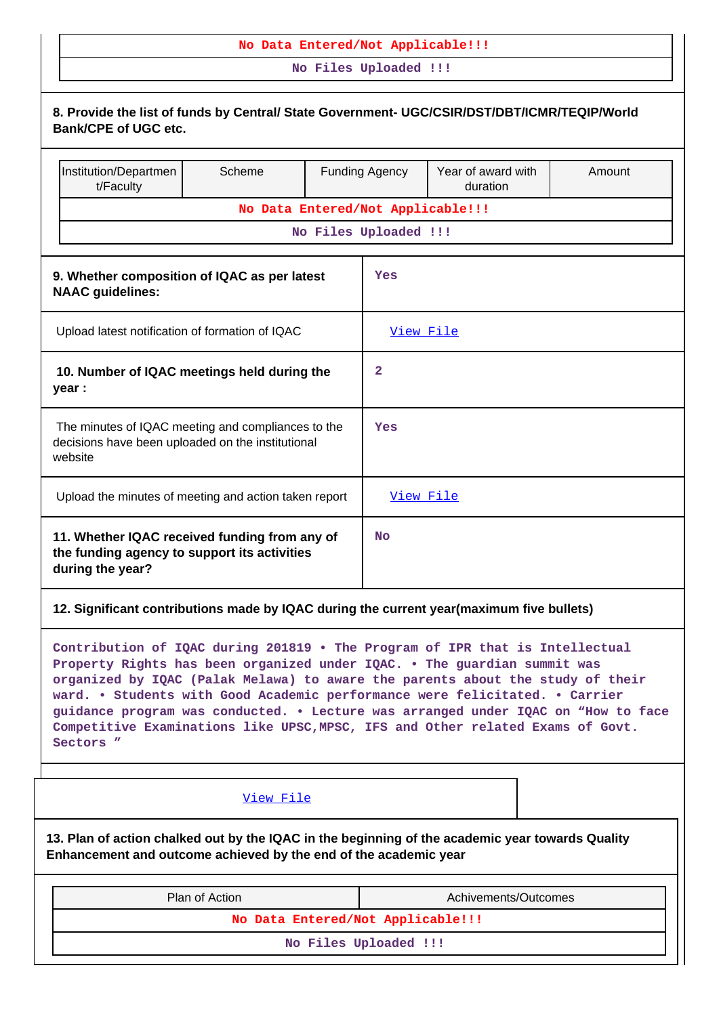### **No Data Entered/Not Applicable!!!**

**No Files Uploaded !!!**

| 8. Provide the list of funds by Central/ State Government- UGC/CSIR/DST/DBT/ICMR/TEQIP/World<br><b>Bank/CPE of UGC etc.</b>                                                                                                                                                                                                                                                                                                                                                                                   |                                   |  |                                                         |                      |  |        |  |
|---------------------------------------------------------------------------------------------------------------------------------------------------------------------------------------------------------------------------------------------------------------------------------------------------------------------------------------------------------------------------------------------------------------------------------------------------------------------------------------------------------------|-----------------------------------|--|---------------------------------------------------------|----------------------|--|--------|--|
| Institution/Departmen<br>t/Faculty                                                                                                                                                                                                                                                                                                                                                                                                                                                                            | Scheme                            |  | Year of award with<br><b>Funding Agency</b><br>duration |                      |  | Amount |  |
|                                                                                                                                                                                                                                                                                                                                                                                                                                                                                                               | No Data Entered/Not Applicable!!! |  |                                                         |                      |  |        |  |
|                                                                                                                                                                                                                                                                                                                                                                                                                                                                                                               |                                   |  | No Files Uploaded !!!                                   |                      |  |        |  |
| 9. Whether composition of IQAC as per latest<br><b>NAAC</b> guidelines:                                                                                                                                                                                                                                                                                                                                                                                                                                       |                                   |  | Yes                                                     |                      |  |        |  |
| Upload latest notification of formation of IQAC                                                                                                                                                                                                                                                                                                                                                                                                                                                               |                                   |  | View File                                               |                      |  |        |  |
| 10. Number of IQAC meetings held during the<br>year :                                                                                                                                                                                                                                                                                                                                                                                                                                                         |                                   |  | 2                                                       |                      |  |        |  |
| The minutes of IQAC meeting and compliances to the<br>decisions have been uploaded on the institutional<br>website                                                                                                                                                                                                                                                                                                                                                                                            |                                   |  | Yes                                                     |                      |  |        |  |
| Upload the minutes of meeting and action taken report                                                                                                                                                                                                                                                                                                                                                                                                                                                         |                                   |  | View File                                               |                      |  |        |  |
| 11. Whether IQAC received funding from any of<br>the funding agency to support its activities<br>during the year?                                                                                                                                                                                                                                                                                                                                                                                             |                                   |  | <b>No</b>                                               |                      |  |        |  |
| 12. Significant contributions made by IQAC during the current year(maximum five bullets)                                                                                                                                                                                                                                                                                                                                                                                                                      |                                   |  |                                                         |                      |  |        |  |
| Contribution of IQAC during 201819 . The Program of IPR that is Intellectual<br>Property Rights has been organized under IQAC. . The guardian summit was<br>organized by IQAC (Palak Melawa) to aware the parents about the study of their<br>ward. . Students with Good Academic performance were felicitated. . Carrier<br>guidance program was conducted. . Lecture was arranged under IQAC on "How to face<br>Competitive Examinations like UPSC, MPSC, IFS and Other related Exams of Govt.<br>Sectors " |                                   |  |                                                         |                      |  |        |  |
|                                                                                                                                                                                                                                                                                                                                                                                                                                                                                                               | View File                         |  |                                                         |                      |  |        |  |
| 13. Plan of action chalked out by the IQAC in the beginning of the academic year towards Quality<br>Enhancement and outcome achieved by the end of the academic year                                                                                                                                                                                                                                                                                                                                          |                                   |  |                                                         |                      |  |        |  |
|                                                                                                                                                                                                                                                                                                                                                                                                                                                                                                               | Plan of Action                    |  |                                                         | Achivements/Outcomes |  |        |  |
|                                                                                                                                                                                                                                                                                                                                                                                                                                                                                                               | No Data Entered/Not Applicable!!! |  |                                                         |                      |  |        |  |
|                                                                                                                                                                                                                                                                                                                                                                                                                                                                                                               |                                   |  | No Files Uploaded !!!                                   |                      |  |        |  |
|                                                                                                                                                                                                                                                                                                                                                                                                                                                                                                               |                                   |  |                                                         |                      |  |        |  |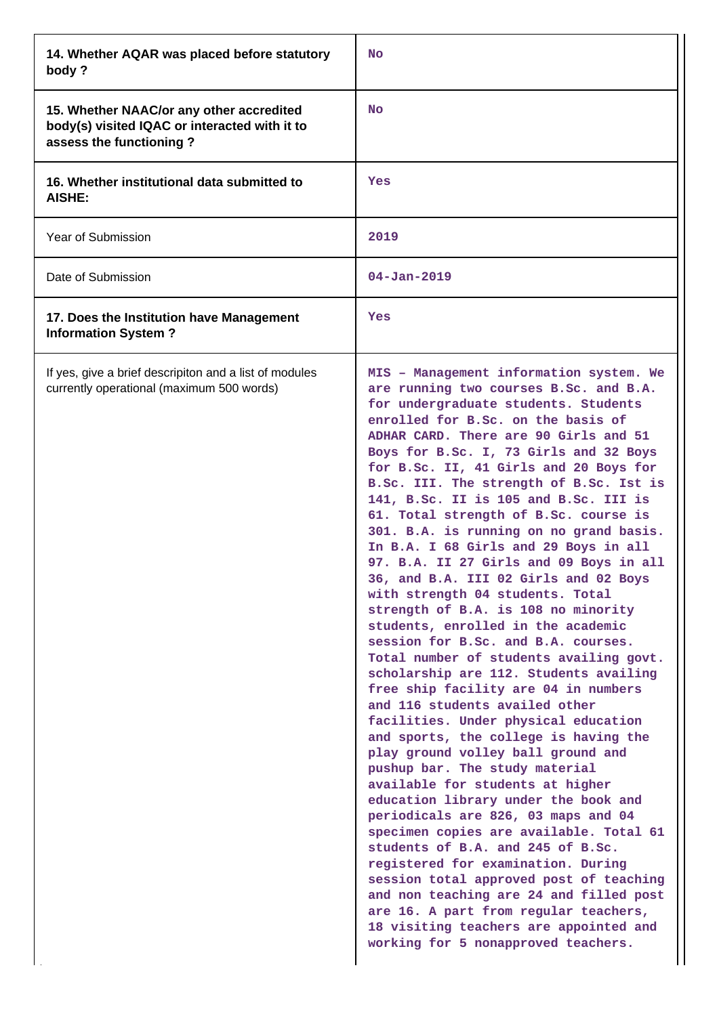| 14. Whether AQAR was placed before statutory<br>body?                                                                | No                                                                                                                                                                                                                                                                                                                                                                                                                                                                                                                                                                                                                                                                                                                                                                                                                                                                                                                                                                                                                                                                                                                                                                                                                                                                                                                                                                                                                                                                                                                                         |
|----------------------------------------------------------------------------------------------------------------------|--------------------------------------------------------------------------------------------------------------------------------------------------------------------------------------------------------------------------------------------------------------------------------------------------------------------------------------------------------------------------------------------------------------------------------------------------------------------------------------------------------------------------------------------------------------------------------------------------------------------------------------------------------------------------------------------------------------------------------------------------------------------------------------------------------------------------------------------------------------------------------------------------------------------------------------------------------------------------------------------------------------------------------------------------------------------------------------------------------------------------------------------------------------------------------------------------------------------------------------------------------------------------------------------------------------------------------------------------------------------------------------------------------------------------------------------------------------------------------------------------------------------------------------------|
| 15. Whether NAAC/or any other accredited<br>body(s) visited IQAC or interacted with it to<br>assess the functioning? | <b>No</b>                                                                                                                                                                                                                                                                                                                                                                                                                                                                                                                                                                                                                                                                                                                                                                                                                                                                                                                                                                                                                                                                                                                                                                                                                                                                                                                                                                                                                                                                                                                                  |
| 16. Whether institutional data submitted to<br><b>AISHE:</b>                                                         | Yes                                                                                                                                                                                                                                                                                                                                                                                                                                                                                                                                                                                                                                                                                                                                                                                                                                                                                                                                                                                                                                                                                                                                                                                                                                                                                                                                                                                                                                                                                                                                        |
| Year of Submission                                                                                                   | 2019                                                                                                                                                                                                                                                                                                                                                                                                                                                                                                                                                                                                                                                                                                                                                                                                                                                                                                                                                                                                                                                                                                                                                                                                                                                                                                                                                                                                                                                                                                                                       |
| Date of Submission                                                                                                   | $04 - Jan - 2019$                                                                                                                                                                                                                                                                                                                                                                                                                                                                                                                                                                                                                                                                                                                                                                                                                                                                                                                                                                                                                                                                                                                                                                                                                                                                                                                                                                                                                                                                                                                          |
| 17. Does the Institution have Management<br><b>Information System?</b>                                               | Yes                                                                                                                                                                                                                                                                                                                                                                                                                                                                                                                                                                                                                                                                                                                                                                                                                                                                                                                                                                                                                                                                                                                                                                                                                                                                                                                                                                                                                                                                                                                                        |
| If yes, give a brief descripiton and a list of modules<br>currently operational (maximum 500 words)                  | MIS - Management information system. We<br>are running two courses B.Sc. and B.A.<br>for undergraduate students. Students<br>enrolled for B.Sc. on the basis of<br>ADHAR CARD. There are 90 Girls and 51<br>Boys for B.Sc. I, 73 Girls and 32 Boys<br>for B.Sc. II, 41 Girls and 20 Boys for<br>B.Sc. III. The strength of B.Sc. Ist is<br>141, B.Sc. II is 105 and B.Sc. III is<br>61. Total strength of B.Sc. course is<br>301. B.A. is running on no grand basis.<br>In B.A. I 68 Girls and 29 Boys in all<br>97. B.A. II 27 Girls and 09 Boys in all<br>36, and B.A. III 02 Girls and 02 Boys<br>with strength 04 students. Total<br>strength of B.A. is 108 no minority<br>students, enrolled in the academic<br>session for B.Sc. and B.A. courses.<br>Total number of students availing govt.<br>scholarship are 112. Students availing<br>free ship facility are 04 in numbers<br>and 116 students availed other<br>facilities. Under physical education<br>and sports, the college is having the<br>play ground volley ball ground and<br>pushup bar. The study material<br>available for students at higher<br>education library under the book and<br>periodicals are 826, 03 maps and 04<br>specimen copies are available. Total 61<br>students of B.A. and 245 of B.Sc.<br>registered for examination. During<br>session total approved post of teaching<br>and non teaching are 24 and filled post<br>are 16. A part from regular teachers,<br>18 visiting teachers are appointed and<br>working for 5 nonapproved teachers. |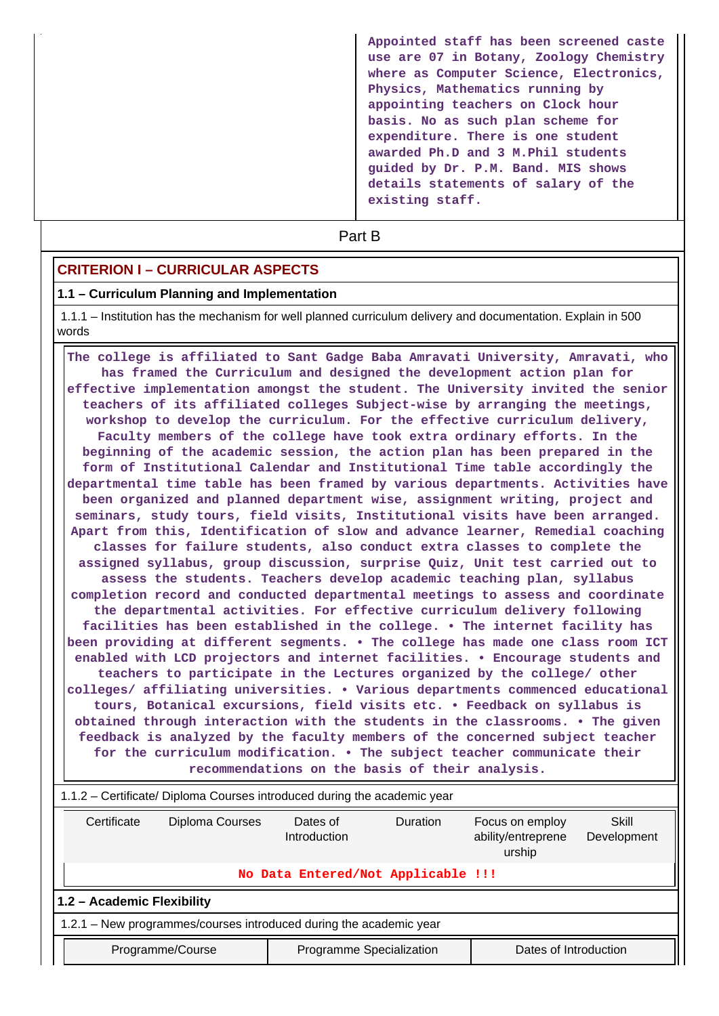**Appointed staff has been screened caste use are 07 in Botany, Zoology Chemistry where as Computer Science, Electronics, Physics, Mathematics running by appointing teachers on Clock hour basis. No as such plan scheme for expenditure. There is one student awarded Ph.D and 3 M.Phil students guided by Dr. P.M. Band. MIS shows details statements of salary of the existing staff.**

# **Part B**

### **CRITERION I – CURRICULAR ASPECTS**

#### **1.1 – Curriculum Planning and Implementation**

 1.1.1 – Institution has the mechanism for well planned curriculum delivery and documentation. Explain in 500 words

 **The college is affiliated to Sant Gadge Baba Amravati University, Amravati, who has framed the Curriculum and designed the development action plan for effective implementation amongst the student. The University invited the senior teachers of its affiliated colleges Subject-wise by arranging the meetings, workshop to develop the curriculum. For the effective curriculum delivery, Faculty members of the college have took extra ordinary efforts. In the beginning of the academic session, the action plan has been prepared in the form of Institutional Calendar and Institutional Time table accordingly the departmental time table has been framed by various departments. Activities have been organized and planned department wise, assignment writing, project and seminars, study tours, field visits, Institutional visits have been arranged. Apart from this, Identification of slow and advance learner, Remedial coaching classes for failure students, also conduct extra classes to complete the assigned syllabus, group discussion, surprise Quiz, Unit test carried out to assess the students. Teachers develop academic teaching plan, syllabus completion record and conducted departmental meetings to assess and coordinate the departmental activities. For effective curriculum delivery following facilities has been established in the college. • The internet facility has been providing at different segments. • The college has made one class room ICT enabled with LCD projectors and internet facilities. • Encourage students and teachers to participate in the Lectures organized by the college/ other colleges/ affiliating universities. • Various departments commenced educational tours, Botanical excursions, field visits etc. • Feedback on syllabus is obtained through interaction with the students in the classrooms. • The given feedback is analyzed by the faculty members of the concerned subject teacher for the curriculum modification. • The subject teacher communicate their recommendations on the basis of their analysis.**

| 1.1.2 – Certificate/ Diploma Courses introduced during the academic year                                                                                 |                                                                       |                                    |  |  |  |  |  |  |
|----------------------------------------------------------------------------------------------------------------------------------------------------------|-----------------------------------------------------------------------|------------------------------------|--|--|--|--|--|--|
| Certificate<br>Diploma Courses<br>Dates of<br><b>Duration</b><br>Skill<br>Focus on employ<br>ability/entreprene<br>Introduction<br>Development<br>urship |                                                                       |                                    |  |  |  |  |  |  |
|                                                                                                                                                          |                                                                       | No Data Entered/Not Applicable !!! |  |  |  |  |  |  |
| 1.2 - Academic Flexibility                                                                                                                               |                                                                       |                                    |  |  |  |  |  |  |
| 1.2.1 – New programmes/courses introduced during the academic year                                                                                       |                                                                       |                                    |  |  |  |  |  |  |
|                                                                                                                                                          | Programme Specialization<br>Dates of Introduction<br>Programme/Course |                                    |  |  |  |  |  |  |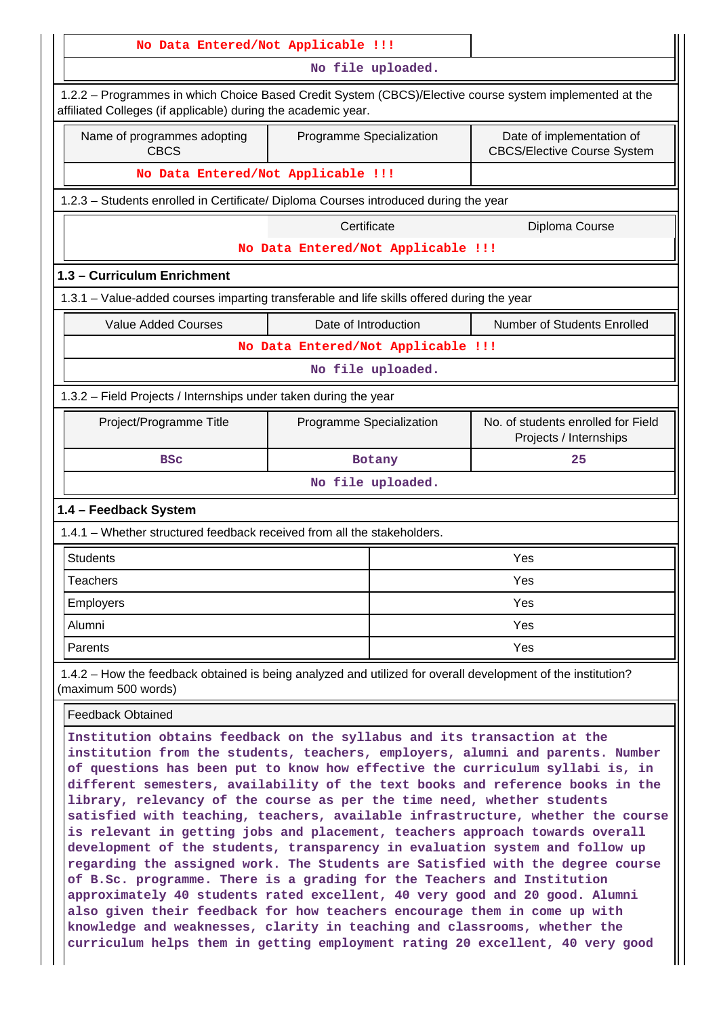| No Data Entered/Not Applicable !!!                                                                                                                                                                                                                                                                                                                                                                                                                                                                                                                                                                                                                                                                                                                                                                                                                                                                                                                                                                                                                                                                                                                |                          |                                    |                                                                 |  |  |  |  |
|---------------------------------------------------------------------------------------------------------------------------------------------------------------------------------------------------------------------------------------------------------------------------------------------------------------------------------------------------------------------------------------------------------------------------------------------------------------------------------------------------------------------------------------------------------------------------------------------------------------------------------------------------------------------------------------------------------------------------------------------------------------------------------------------------------------------------------------------------------------------------------------------------------------------------------------------------------------------------------------------------------------------------------------------------------------------------------------------------------------------------------------------------|--------------------------|------------------------------------|-----------------------------------------------------------------|--|--|--|--|
|                                                                                                                                                                                                                                                                                                                                                                                                                                                                                                                                                                                                                                                                                                                                                                                                                                                                                                                                                                                                                                                                                                                                                   |                          | No file uploaded.                  |                                                                 |  |  |  |  |
| 1.2.2 – Programmes in which Choice Based Credit System (CBCS)/Elective course system implemented at the<br>affiliated Colleges (if applicable) during the academic year.                                                                                                                                                                                                                                                                                                                                                                                                                                                                                                                                                                                                                                                                                                                                                                                                                                                                                                                                                                          |                          |                                    |                                                                 |  |  |  |  |
| Name of programmes adopting<br><b>CBCS</b>                                                                                                                                                                                                                                                                                                                                                                                                                                                                                                                                                                                                                                                                                                                                                                                                                                                                                                                                                                                                                                                                                                        | Programme Specialization |                                    | Date of implementation of<br><b>CBCS/Elective Course System</b> |  |  |  |  |
| No Data Entered/Not Applicable !!!                                                                                                                                                                                                                                                                                                                                                                                                                                                                                                                                                                                                                                                                                                                                                                                                                                                                                                                                                                                                                                                                                                                |                          |                                    |                                                                 |  |  |  |  |
| 1.2.3 - Students enrolled in Certificate/ Diploma Courses introduced during the year                                                                                                                                                                                                                                                                                                                                                                                                                                                                                                                                                                                                                                                                                                                                                                                                                                                                                                                                                                                                                                                              |                          |                                    |                                                                 |  |  |  |  |
|                                                                                                                                                                                                                                                                                                                                                                                                                                                                                                                                                                                                                                                                                                                                                                                                                                                                                                                                                                                                                                                                                                                                                   | Certificate              |                                    | Diploma Course                                                  |  |  |  |  |
|                                                                                                                                                                                                                                                                                                                                                                                                                                                                                                                                                                                                                                                                                                                                                                                                                                                                                                                                                                                                                                                                                                                                                   |                          | No Data Entered/Not Applicable !!! |                                                                 |  |  |  |  |
| 1.3 - Curriculum Enrichment                                                                                                                                                                                                                                                                                                                                                                                                                                                                                                                                                                                                                                                                                                                                                                                                                                                                                                                                                                                                                                                                                                                       |                          |                                    |                                                                 |  |  |  |  |
| 1.3.1 – Value-added courses imparting transferable and life skills offered during the year                                                                                                                                                                                                                                                                                                                                                                                                                                                                                                                                                                                                                                                                                                                                                                                                                                                                                                                                                                                                                                                        |                          |                                    |                                                                 |  |  |  |  |
| <b>Value Added Courses</b>                                                                                                                                                                                                                                                                                                                                                                                                                                                                                                                                                                                                                                                                                                                                                                                                                                                                                                                                                                                                                                                                                                                        | Date of Introduction     |                                    | Number of Students Enrolled                                     |  |  |  |  |
|                                                                                                                                                                                                                                                                                                                                                                                                                                                                                                                                                                                                                                                                                                                                                                                                                                                                                                                                                                                                                                                                                                                                                   |                          | No Data Entered/Not Applicable !!! |                                                                 |  |  |  |  |
|                                                                                                                                                                                                                                                                                                                                                                                                                                                                                                                                                                                                                                                                                                                                                                                                                                                                                                                                                                                                                                                                                                                                                   |                          | No file uploaded.                  |                                                                 |  |  |  |  |
| 1.3.2 - Field Projects / Internships under taken during the year                                                                                                                                                                                                                                                                                                                                                                                                                                                                                                                                                                                                                                                                                                                                                                                                                                                                                                                                                                                                                                                                                  |                          |                                    |                                                                 |  |  |  |  |
| Project/Programme Title                                                                                                                                                                                                                                                                                                                                                                                                                                                                                                                                                                                                                                                                                                                                                                                                                                                                                                                                                                                                                                                                                                                           | Programme Specialization |                                    | No. of students enrolled for Field<br>Projects / Internships    |  |  |  |  |
| <b>BSC</b>                                                                                                                                                                                                                                                                                                                                                                                                                                                                                                                                                                                                                                                                                                                                                                                                                                                                                                                                                                                                                                                                                                                                        |                          | Botany                             | 25                                                              |  |  |  |  |
|                                                                                                                                                                                                                                                                                                                                                                                                                                                                                                                                                                                                                                                                                                                                                                                                                                                                                                                                                                                                                                                                                                                                                   |                          | No file uploaded.                  |                                                                 |  |  |  |  |
| 1.4 - Feedback System                                                                                                                                                                                                                                                                                                                                                                                                                                                                                                                                                                                                                                                                                                                                                                                                                                                                                                                                                                                                                                                                                                                             |                          |                                    |                                                                 |  |  |  |  |
| 1.4.1 - Whether structured feedback received from all the stakeholders.                                                                                                                                                                                                                                                                                                                                                                                                                                                                                                                                                                                                                                                                                                                                                                                                                                                                                                                                                                                                                                                                           |                          |                                    |                                                                 |  |  |  |  |
| <b>Students</b>                                                                                                                                                                                                                                                                                                                                                                                                                                                                                                                                                                                                                                                                                                                                                                                                                                                                                                                                                                                                                                                                                                                                   |                          |                                    | Yes                                                             |  |  |  |  |
| <b>Teachers</b>                                                                                                                                                                                                                                                                                                                                                                                                                                                                                                                                                                                                                                                                                                                                                                                                                                                                                                                                                                                                                                                                                                                                   |                          |                                    | Yes                                                             |  |  |  |  |
| <b>Employers</b>                                                                                                                                                                                                                                                                                                                                                                                                                                                                                                                                                                                                                                                                                                                                                                                                                                                                                                                                                                                                                                                                                                                                  |                          |                                    | Yes                                                             |  |  |  |  |
| Alumni                                                                                                                                                                                                                                                                                                                                                                                                                                                                                                                                                                                                                                                                                                                                                                                                                                                                                                                                                                                                                                                                                                                                            |                          |                                    | Yes                                                             |  |  |  |  |
| Parents                                                                                                                                                                                                                                                                                                                                                                                                                                                                                                                                                                                                                                                                                                                                                                                                                                                                                                                                                                                                                                                                                                                                           |                          |                                    | <b>Yes</b>                                                      |  |  |  |  |
| 1.4.2 – How the feedback obtained is being analyzed and utilized for overall development of the institution?<br>(maximum 500 words)                                                                                                                                                                                                                                                                                                                                                                                                                                                                                                                                                                                                                                                                                                                                                                                                                                                                                                                                                                                                               |                          |                                    |                                                                 |  |  |  |  |
| <b>Feedback Obtained</b>                                                                                                                                                                                                                                                                                                                                                                                                                                                                                                                                                                                                                                                                                                                                                                                                                                                                                                                                                                                                                                                                                                                          |                          |                                    |                                                                 |  |  |  |  |
| Institution obtains feedback on the syllabus and its transaction at the<br>institution from the students, teachers, employers, alumni and parents. Number<br>of questions has been put to know how effective the curriculum syllabi is, in<br>different semesters, availability of the text books and reference books in the<br>library, relevancy of the course as per the time need, whether students<br>satisfied with teaching, teachers, available infrastructure, whether the course<br>is relevant in getting jobs and placement, teachers approach towards overall<br>development of the students, transparency in evaluation system and follow up<br>regarding the assigned work. The Students are Satisfied with the degree course<br>of B.Sc. programme. There is a grading for the Teachers and Institution<br>approximately 40 students rated excellent, 40 very good and 20 good. Alumni<br>also given their feedback for how teachers encourage them in come up with<br>knowledge and weaknesses, clarity in teaching and classrooms, whether the<br>curriculum helps them in getting employment rating 20 excellent, 40 very good |                          |                                    |                                                                 |  |  |  |  |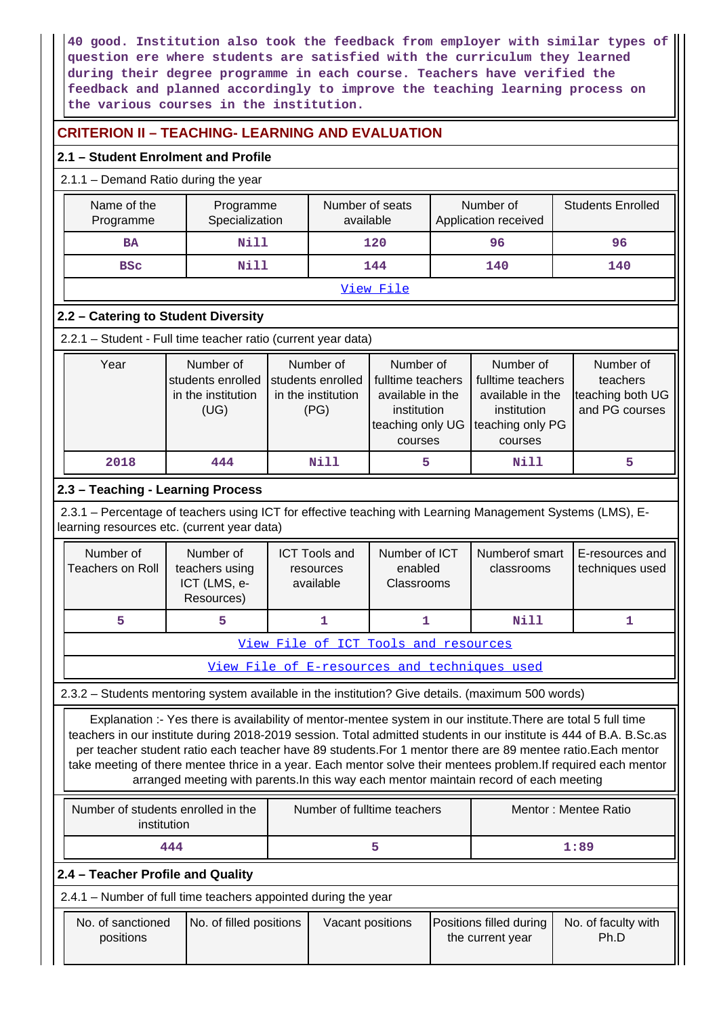**40 good. Institution also took the feedback from employer with similar types of question ere where students are satisfied with the curriculum they learned during their degree programme in each course. Teachers have verified the feedback and planned accordingly to improve the teaching learning process on the various courses in the institution.**

# **CRITERION II – TEACHING- LEARNING AND EVALUATION**

### **2.1 – Student Enrolment and Profile**

# 2.1.1 – Demand Ratio during the year

|           | Name of the<br>Programme<br>Specialization<br>Programme       |                                                              |  | Number of seats<br>available                                 |                                                                                                  |    | Number of<br>Application received                                                                | <b>Students Enrolled</b>                                    |  |
|-----------|---------------------------------------------------------------|--------------------------------------------------------------|--|--------------------------------------------------------------|--------------------------------------------------------------------------------------------------|----|--------------------------------------------------------------------------------------------------|-------------------------------------------------------------|--|
|           | <b>BA</b>                                                     | Nill                                                         |  | 120                                                          |                                                                                                  | 96 |                                                                                                  | 96                                                          |  |
|           | <b>BSC</b>                                                    | Nill                                                         |  |                                                              | 144                                                                                              |    | 140                                                                                              | 140                                                         |  |
| View File |                                                               |                                                              |  |                                                              |                                                                                                  |    |                                                                                                  |                                                             |  |
|           | 2.2 - Catering to Student Diversity                           |                                                              |  |                                                              |                                                                                                  |    |                                                                                                  |                                                             |  |
|           | 2.2.1 - Student - Full time teacher ratio (current year data) |                                                              |  |                                                              |                                                                                                  |    |                                                                                                  |                                                             |  |
|           | Year                                                          | Number of<br>students enrolled<br>in the institution<br>(UG) |  | Number of<br>students enrolled<br>in the institution<br>(PG) | Number of<br>fulltime teachers<br>available in the<br>institution<br>teaching only UG<br>courses |    | Number of<br>fulltime teachers<br>available in the<br>institution<br>teaching only PG<br>courses | Number of<br>teachers<br>teaching both UG<br>and PG courses |  |

# **2.3 – Teaching - Learning Process**

 2.3.1 – Percentage of teachers using ICT for effective teaching with Learning Management Systems (LMS), Elearning resources etc. (current year data)

 **2018 444 Nill 5 Nill 5**

| Number of<br>Teachers on Roll | Number of<br>teachers using<br>ICT (LMS, e-<br>Resources) | <b>ICT Tools and</b><br>resources<br>available | Number of ICT<br>enabled<br><b>Classrooms</b> | Numberof smart<br>classrooms | E-resources and<br>techniques used |
|-------------------------------|-----------------------------------------------------------|------------------------------------------------|-----------------------------------------------|------------------------------|------------------------------------|
|                               |                                                           |                                                |                                               | Nill                         |                                    |

[View File of ICT Tools and resources](https://assessmentonline.naac.gov.in/public/Postacc/ict_tools/19271_ict_tools_1647081790.xlsx)

[View File of E-resources and techniques used](https://assessmentonline.naac.gov.in/public/Postacc/e_resource/19271_e_resource_1647081774.xlsx)

2.3.2 – Students mentoring system available in the institution? Give details. (maximum 500 words)

 Explanation :- Yes there is availability of mentor-mentee system in our institute.There are total 5 full time teachers in our institute during 2018-2019 session. Total admitted students in our institute is 444 of B.A. B.Sc.as per teacher student ratio each teacher have 89 students.For 1 mentor there are 89 mentee ratio.Each mentor take meeting of there mentee thrice in a year. Each mentor solve their mentees problem.If required each mentor arranged meeting with parents.In this way each mentor maintain record of each meeting

| Number of students enrolled in the<br>institution | Number of fulltime teachers | Mentor: Mentee Ratio |  |
|---------------------------------------------------|-----------------------------|----------------------|--|
| 444                                               |                             | 1:89                 |  |

### **2.4 – Teacher Profile and Quality**

2.4.1 – Number of full time teachers appointed during the year

| No. of sanctioned<br>positions | No. of filled positions | Vacant positions | <b>Positions filled during</b><br>the current year | No. of faculty with<br>Ph.D |
|--------------------------------|-------------------------|------------------|----------------------------------------------------|-----------------------------|
|                                |                         |                  |                                                    |                             |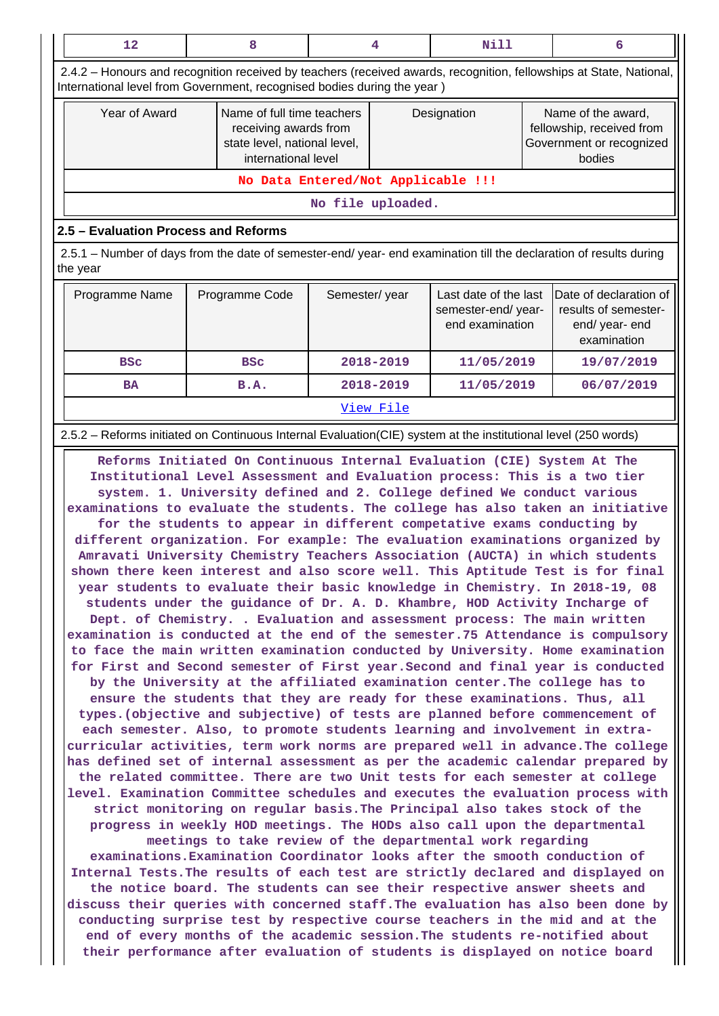|                                                     | 12                                                                                                                                                                                              | 8                                                                                                          |                   | 4 | Nill                                                           |            | 6                                                                                     |  |  |
|-----------------------------------------------------|-------------------------------------------------------------------------------------------------------------------------------------------------------------------------------------------------|------------------------------------------------------------------------------------------------------------|-------------------|---|----------------------------------------------------------------|------------|---------------------------------------------------------------------------------------|--|--|
|                                                     | 2.4.2 - Honours and recognition received by teachers (received awards, recognition, fellowships at State, National,<br>International level from Government, recognised bodies during the year ) |                                                                                                            |                   |   |                                                                |            |                                                                                       |  |  |
|                                                     | Year of Award                                                                                                                                                                                   | Name of full time teachers<br>receiving awards from<br>state level, national level,<br>international level |                   |   | Designation                                                    |            | Name of the award,<br>fellowship, received from<br>Government or recognized<br>bodies |  |  |
|                                                     |                                                                                                                                                                                                 | No Data Entered/Not Applicable !!!                                                                         |                   |   |                                                                |            |                                                                                       |  |  |
|                                                     |                                                                                                                                                                                                 |                                                                                                            | No file uploaded. |   |                                                                |            |                                                                                       |  |  |
|                                                     | 2.5 - Evaluation Process and Reforms                                                                                                                                                            |                                                                                                            |                   |   |                                                                |            |                                                                                       |  |  |
|                                                     | 2.5.1 – Number of days from the date of semester-end/ year- end examination till the declaration of results during<br>the year                                                                  |                                                                                                            |                   |   |                                                                |            |                                                                                       |  |  |
|                                                     | Programme Name                                                                                                                                                                                  | Programme Code                                                                                             | Semester/year     |   | Last date of the last<br>semester-end/year-<br>end examination |            | Date of declaration of<br>results of semester-<br>end/ year- end<br>examination       |  |  |
| 2018-2019<br>11/05/2019<br><b>BSC</b><br><b>BSC</b> |                                                                                                                                                                                                 |                                                                                                            |                   |   |                                                                | 19/07/2019 |                                                                                       |  |  |
|                                                     | <b>BA</b>                                                                                                                                                                                       | <b>B.A.</b>                                                                                                | 2018-2019         |   | 11/05/2019                                                     |            | 06/07/2019                                                                            |  |  |
|                                                     | View File                                                                                                                                                                                       |                                                                                                            |                   |   |                                                                |            |                                                                                       |  |  |
|                                                     | 2.5.2 – Reforms initiated on Continuous Internal Evaluation (CIE) system at the institutional level (250 words)                                                                                 |                                                                                                            |                   |   |                                                                |            |                                                                                       |  |  |

 **Reforms Initiated On Continuous Internal Evaluation (CIE) System At The Institutional Level Assessment and Evaluation process: This is a two tier system. 1. University defined and 2. College defined We conduct various examinations to evaluate the students. The college has also taken an initiative for the students to appear in different competative exams conducting by different organization. For example: The evaluation examinations organized by Amravati University Chemistry Teachers Association (AUCTA) in which students shown there keen interest and also score well. This Aptitude Test is for final year students to evaluate their basic knowledge in Chemistry. In 2018-19, 08 students under the guidance of Dr. A. D. Khambre, HOD Activity Incharge of Dept. of Chemistry. . Evaluation and assessment process: The main written examination is conducted at the end of the semester.75 Attendance is compulsory to face the main written examination conducted by University. Home examination for First and Second semester of First year.Second and final year is conducted by the University at the affiliated examination center.The college has to ensure the students that they are ready for these examinations. Thus, all types.(objective and subjective) of tests are planned before commencement of each semester. Also, to promote students learning and involvement in extracurricular activities, term work norms are prepared well in advance.The college has defined set of internal assessment as per the academic calendar prepared by the related committee. There are two Unit tests for each semester at college level. Examination Committee schedules and executes the evaluation process with strict monitoring on regular basis.The Principal also takes stock of the progress in weekly HOD meetings. The HODs also call upon the departmental meetings to take review of the departmental work regarding examinations.Examination Coordinator looks after the smooth conduction of Internal Tests.The results of each test are strictly declared and displayed on the notice board. The students can see their respective answer sheets and discuss their queries with concerned staff.The evaluation has also been done by conducting surprise test by respective course teachers in the mid and at the end of every months of the academic session.The students re-notified about their performance after evaluation of students is displayed on notice board**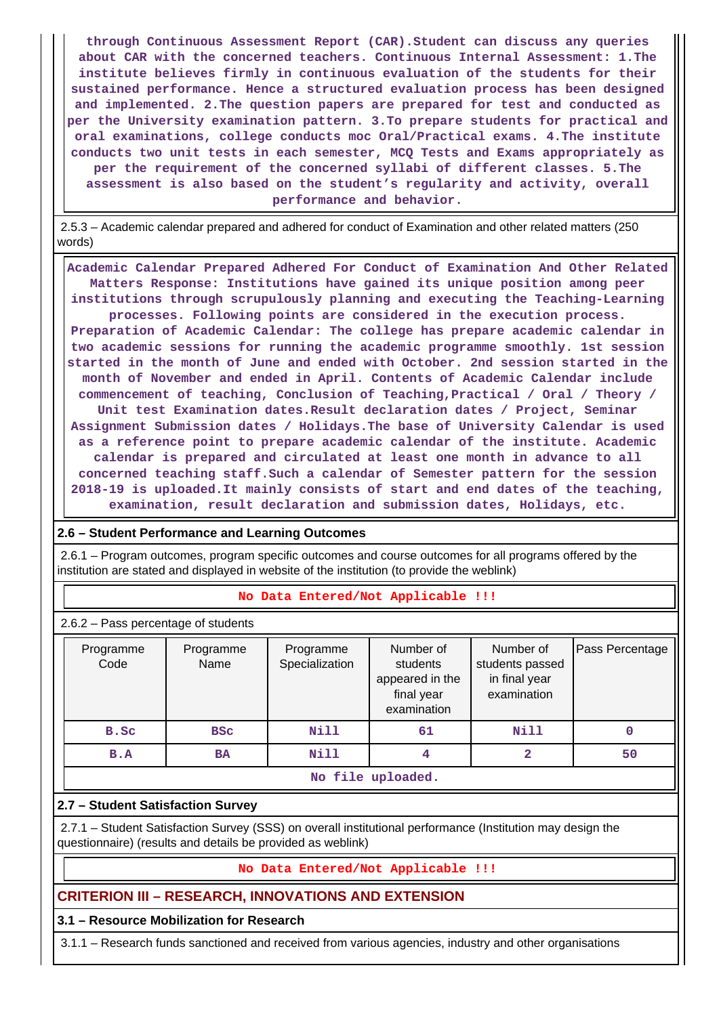**through Continuous Assessment Report (CAR).Student can discuss any queries about CAR with the concerned teachers. Continuous Internal Assessment: 1.The institute believes firmly in continuous evaluation of the students for their sustained performance. Hence a structured evaluation process has been designed and implemented. 2.The question papers are prepared for test and conducted as per the University examination pattern. 3.To prepare students for practical and oral examinations, college conducts moc Oral/Practical exams. 4.The institute conducts two unit tests in each semester, MCQ Tests and Exams appropriately as per the requirement of the concerned syllabi of different classes. 5.The assessment is also based on the student's regularity and activity, overall performance and behavior.**

 2.5.3 – Academic calendar prepared and adhered for conduct of Examination and other related matters (250 words)

 **Academic Calendar Prepared Adhered For Conduct of Examination And Other Related Matters Response: Institutions have gained its unique position among peer institutions through scrupulously planning and executing the Teaching-Learning processes. Following points are considered in the execution process. Preparation of Academic Calendar: The college has prepare academic calendar in two academic sessions for running the academic programme smoothly. 1st session started in the month of June and ended with October. 2nd session started in the month of November and ended in April. Contents of Academic Calendar include commencement of teaching, Conclusion of Teaching,Practical / Oral / Theory / Unit test Examination dates.Result declaration dates / Project, Seminar Assignment Submission dates / Holidays.The base of University Calendar is used as a reference point to prepare academic calendar of the institute. Academic calendar is prepared and circulated at least one month in advance to all concerned teaching staff.Such a calendar of Semester pattern for the session 2018-19 is uploaded.It mainly consists of start and end dates of the teaching, examination, result declaration and submission dates, Holidays, etc.**

#### **2.6 – Student Performance and Learning Outcomes**

 2.6.1 – Program outcomes, program specific outcomes and course outcomes for all programs offered by the institution are stated and displayed in website of the institution (to provide the weblink)

#### **No Data Entered/Not Applicable !!!**

2.6.2 – Pass percentage of students

| Programme<br>Code | Programme<br>Name | Programme<br>Specialization | Number of<br>students<br>appeared in the<br>final year<br>examination | Number of<br>students passed<br>in final year<br>examination | Pass Percentage |  |  |  |
|-------------------|-------------------|-----------------------------|-----------------------------------------------------------------------|--------------------------------------------------------------|-----------------|--|--|--|
| B.SC              | <b>BSC</b>        | Nill                        | 61                                                                    | Nill                                                         |                 |  |  |  |
| B.A               | <b>BA</b>         | Nill                        | 4                                                                     | $\overline{\mathbf{2}}$                                      | 50              |  |  |  |
| No file uploaded. |                   |                             |                                                                       |                                                              |                 |  |  |  |

#### **2.7 – Student Satisfaction Survey**

 2.7.1 – Student Satisfaction Survey (SSS) on overall institutional performance (Institution may design the questionnaire) (results and details be provided as weblink)

#### **No Data Entered/Not Applicable !!!**

#### **CRITERION III – RESEARCH, INNOVATIONS AND EXTENSION**

#### **3.1 – Resource Mobilization for Research**

3.1.1 – Research funds sanctioned and received from various agencies, industry and other organisations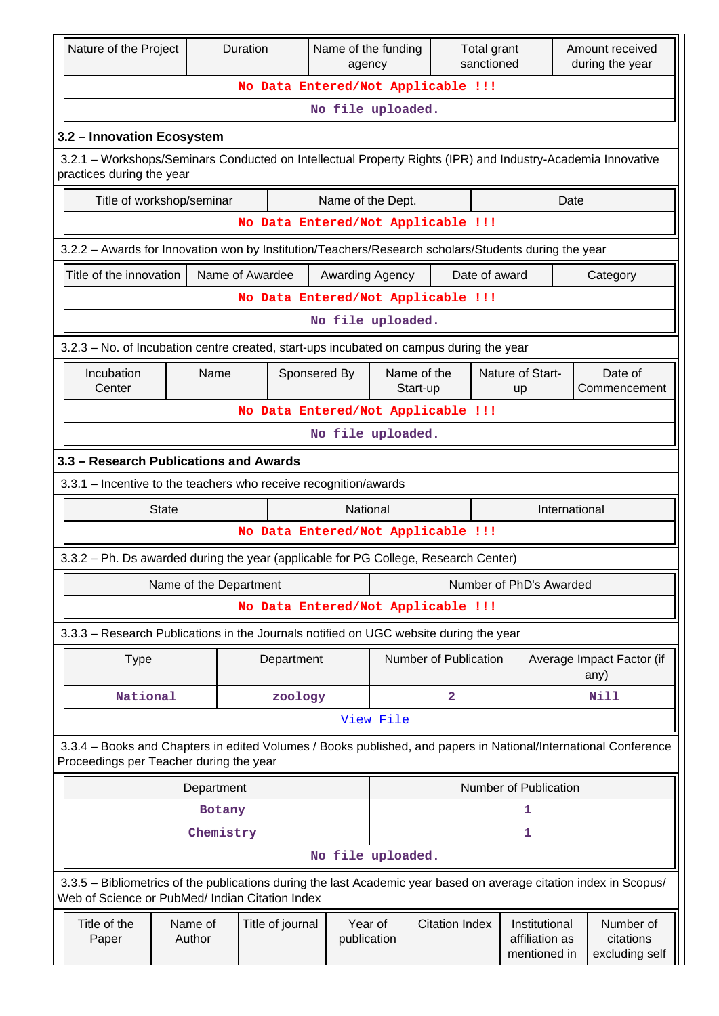| Nature of the Project                                                                                                                    |                        |            | Duration                           | Name of the funding<br>agency |                        |                         | Total grant<br>sanctioned |                                                 | Amount received<br>during the year                                                                                 |
|------------------------------------------------------------------------------------------------------------------------------------------|------------------------|------------|------------------------------------|-------------------------------|------------------------|-------------------------|---------------------------|-------------------------------------------------|--------------------------------------------------------------------------------------------------------------------|
|                                                                                                                                          |                        |            | No Data Entered/Not Applicable !!! |                               |                        |                         |                           |                                                 |                                                                                                                    |
|                                                                                                                                          |                        |            |                                    | No file uploaded.             |                        |                         |                           |                                                 |                                                                                                                    |
| 3.2 - Innovation Ecosystem                                                                                                               |                        |            |                                    |                               |                        |                         |                           |                                                 |                                                                                                                    |
| 3.2.1 – Workshops/Seminars Conducted on Intellectual Property Rights (IPR) and Industry-Academia Innovative<br>practices during the year |                        |            |                                    |                               |                        |                         |                           |                                                 |                                                                                                                    |
| Title of workshop/seminar                                                                                                                |                        |            |                                    | Name of the Dept.             |                        |                         |                           | Date                                            |                                                                                                                    |
|                                                                                                                                          |                        |            | No Data Entered/Not Applicable !!! |                               |                        |                         |                           |                                                 |                                                                                                                    |
| 3.2.2 - Awards for Innovation won by Institution/Teachers/Research scholars/Students during the year                                     |                        |            |                                    |                               |                        |                         |                           |                                                 |                                                                                                                    |
| Title of the innovation                                                                                                                  |                        |            | Name of Awardee                    | <b>Awarding Agency</b>        |                        |                         | Date of award             |                                                 | Category                                                                                                           |
| No Data Entered/Not Applicable !!!                                                                                                       |                        |            |                                    |                               |                        |                         |                           |                                                 |                                                                                                                    |
|                                                                                                                                          |                        |            |                                    | No file uploaded.             |                        |                         |                           |                                                 |                                                                                                                    |
| 3.2.3 – No. of Incubation centre created, start-ups incubated on campus during the year                                                  |                        |            |                                    |                               |                        |                         |                           |                                                 |                                                                                                                    |
| Incubation<br>Sponsered By<br>Name<br>Center                                                                                             |                        |            |                                    | Name of the<br>Start-up       |                        | Nature of Start-<br>up  | Date of<br>Commencement   |                                                 |                                                                                                                    |
| No Data Entered/Not Applicable !!!                                                                                                       |                        |            |                                    |                               |                        |                         |                           |                                                 |                                                                                                                    |
|                                                                                                                                          |                        |            |                                    | No file uploaded.             |                        |                         |                           |                                                 |                                                                                                                    |
| 3.3 - Research Publications and Awards                                                                                                   |                        |            |                                    |                               |                        |                         |                           |                                                 |                                                                                                                    |
| 3.3.1 – Incentive to the teachers who receive recognition/awards                                                                         |                        |            |                                    |                               |                        |                         |                           |                                                 |                                                                                                                    |
|                                                                                                                                          | <b>State</b>           |            |                                    | National                      |                        |                         |                           | International                                   |                                                                                                                    |
|                                                                                                                                          |                        |            | No Data Entered/Not Applicable !!! |                               |                        |                         |                           |                                                 |                                                                                                                    |
| 3.3.2 - Ph. Ds awarded during the year (applicable for PG College, Research Center)                                                      |                        |            |                                    |                               |                        |                         |                           |                                                 |                                                                                                                    |
|                                                                                                                                          | Name of the Department |            |                                    |                               |                        |                         |                           | Number of PhD's Awarded                         |                                                                                                                    |
|                                                                                                                                          |                        |            | No Data Entered/Not Applicable !!! |                               |                        |                         |                           |                                                 |                                                                                                                    |
| 3.3.3 - Research Publications in the Journals notified on UGC website during the year                                                    |                        |            |                                    |                               |                        |                         |                           |                                                 |                                                                                                                    |
| <b>Type</b>                                                                                                                              |                        |            | Department                         |                               |                        | Number of Publication   |                           | Average Impact Factor (if<br>any)               |                                                                                                                    |
| National                                                                                                                                 |                        |            | zoology                            |                               |                        | $\overline{\mathbf{2}}$ |                           |                                                 | Nill                                                                                                               |
|                                                                                                                                          |                        |            |                                    |                               | View File              |                         |                           |                                                 |                                                                                                                    |
| Proceedings per Teacher during the year                                                                                                  |                        |            |                                    |                               |                        |                         |                           |                                                 | 3.3.4 – Books and Chapters in edited Volumes / Books published, and papers in National/International Conference    |
|                                                                                                                                          |                        | Department |                                    |                               |                        |                         |                           | Number of Publication                           |                                                                                                                    |
|                                                                                                                                          |                        | Botany     |                                    |                               |                        |                         |                           | 1                                               |                                                                                                                    |
|                                                                                                                                          |                        | Chemistry  |                                    |                               |                        |                         |                           | 1                                               |                                                                                                                    |
|                                                                                                                                          |                        |            |                                    | No file uploaded.             |                        |                         |                           |                                                 |                                                                                                                    |
| Web of Science or PubMed/ Indian Citation Index                                                                                          |                        |            |                                    |                               |                        |                         |                           |                                                 | 3.3.5 - Bibliometrics of the publications during the last Academic year based on average citation index in Scopus/ |
| Title of the<br>Paper                                                                                                                    | Name of<br>Author      |            | Title of journal                   |                               | Year of<br>publication | <b>Citation Index</b>   |                           | Institutional<br>affiliation as<br>mentioned in | Number of<br>citations<br>excluding self                                                                           |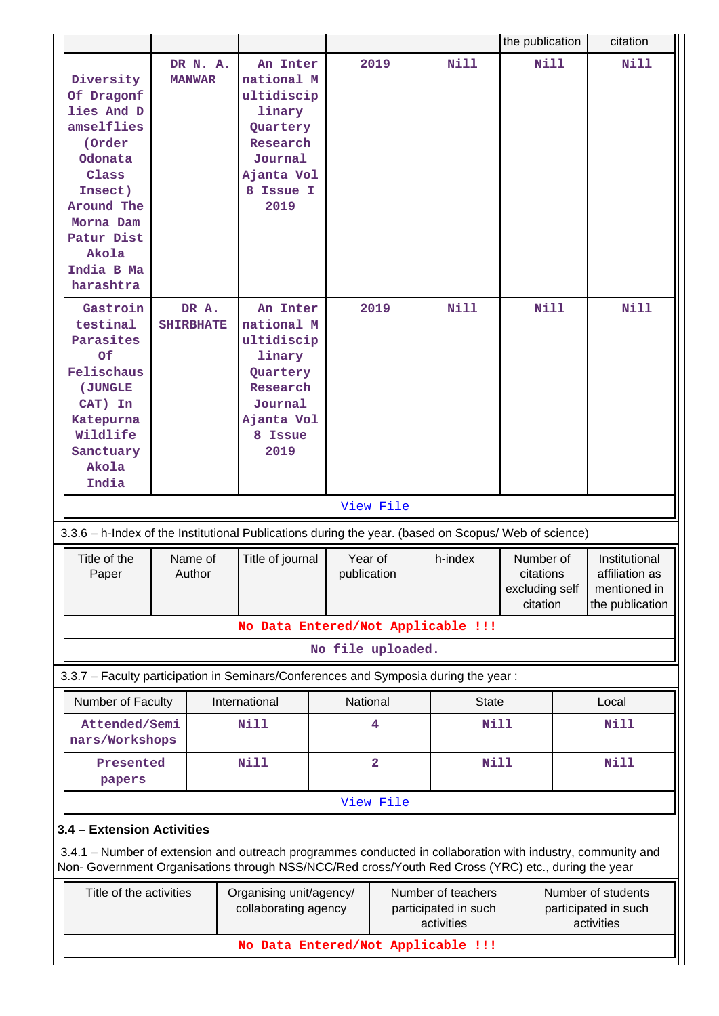|                                                                                                                                                                                                                    |                           |                                                                                                                      |                   |                         |                                                          | the publication                                      | citation                                                           |
|--------------------------------------------------------------------------------------------------------------------------------------------------------------------------------------------------------------------|---------------------------|----------------------------------------------------------------------------------------------------------------------|-------------------|-------------------------|----------------------------------------------------------|------------------------------------------------------|--------------------------------------------------------------------|
| Diversity<br>Of Dragonf<br>lies And D<br>amselflies<br>(Order<br>Odonata<br>Class<br>Insect)<br>Around The<br>Morna Dam<br>Patur Dist<br>Akola<br>India B Ma<br>harashtra                                          | DR N. A.<br><b>MANWAR</b> | An Inter<br>national M<br>ultidiscip<br>linary<br>Quartery<br>Research<br>Journal<br>Ajanta Vol<br>8 Issue I<br>2019 |                   | 2019                    | Nill                                                     | Nill                                                 | <b>Nill</b>                                                        |
| Gastroin<br>testinal<br>Parasites<br>Of<br>Felischaus<br>(JUNGLE<br>CAT) In<br>Katepurna<br>Wildlife<br>Sanctuary<br>Akola<br>India                                                                                | DR A.<br><b>SHIRBHATE</b> | An Inter<br>national M<br>ultidiscip<br>linary<br>Quartery<br>Research<br>Journal<br>Ajanta Vol<br>8 Issue<br>2019   |                   | 2019<br>View File       | <b>Nill</b>                                              | Nill                                                 | Nill                                                               |
| 3.3.6 - h-Index of the Institutional Publications during the year. (based on Scopus/ Web of science)                                                                                                               |                           |                                                                                                                      |                   |                         |                                                          |                                                      |                                                                    |
| Title of the<br>Paper                                                                                                                                                                                              | Name of<br>Author         | Title of journal                                                                                                     | publication       | Year of                 | h-index                                                  | Number of<br>citations<br>excluding self<br>citation | Institutional<br>affiliation as<br>mentioned in<br>the publication |
|                                                                                                                                                                                                                    |                           |                                                                                                                      |                   |                         | No Data Entered/Not Applicable !!!                       |                                                      |                                                                    |
|                                                                                                                                                                                                                    |                           |                                                                                                                      | No file uploaded. |                         |                                                          |                                                      |                                                                    |
| 3.3.7 - Faculty participation in Seminars/Conferences and Symposia during the year:                                                                                                                                |                           |                                                                                                                      |                   |                         |                                                          |                                                      |                                                                    |
| Number of Faculty<br>Attended/Semi<br>nars/Workshops                                                                                                                                                               |                           | International<br><b>Nill</b>                                                                                         |                   | National<br>4           | <b>State</b><br>Nill                                     |                                                      | Local<br>Nill                                                      |
| Presented<br>papers                                                                                                                                                                                                |                           | <b>Nill</b>                                                                                                          |                   | $\overline{\mathbf{2}}$ | Nill                                                     |                                                      | <b>Nill</b>                                                        |
|                                                                                                                                                                                                                    |                           |                                                                                                                      |                   | View File               |                                                          |                                                      |                                                                    |
| 3.4 - Extension Activities                                                                                                                                                                                         |                           |                                                                                                                      |                   |                         |                                                          |                                                      |                                                                    |
| 3.4.1 – Number of extension and outreach programmes conducted in collaboration with industry, community and<br>Non- Government Organisations through NSS/NCC/Red cross/Youth Red Cross (YRC) etc., during the year |                           |                                                                                                                      |                   |                         |                                                          |                                                      |                                                                    |
| Title of the activities                                                                                                                                                                                            |                           | Organising unit/agency/<br>collaborating agency                                                                      |                   |                         | Number of teachers<br>participated in such<br>activities |                                                      | Number of students<br>participated in such<br>activities           |
|                                                                                                                                                                                                                    |                           |                                                                                                                      |                   |                         | No Data Entered/Not Applicable !!!                       |                                                      |                                                                    |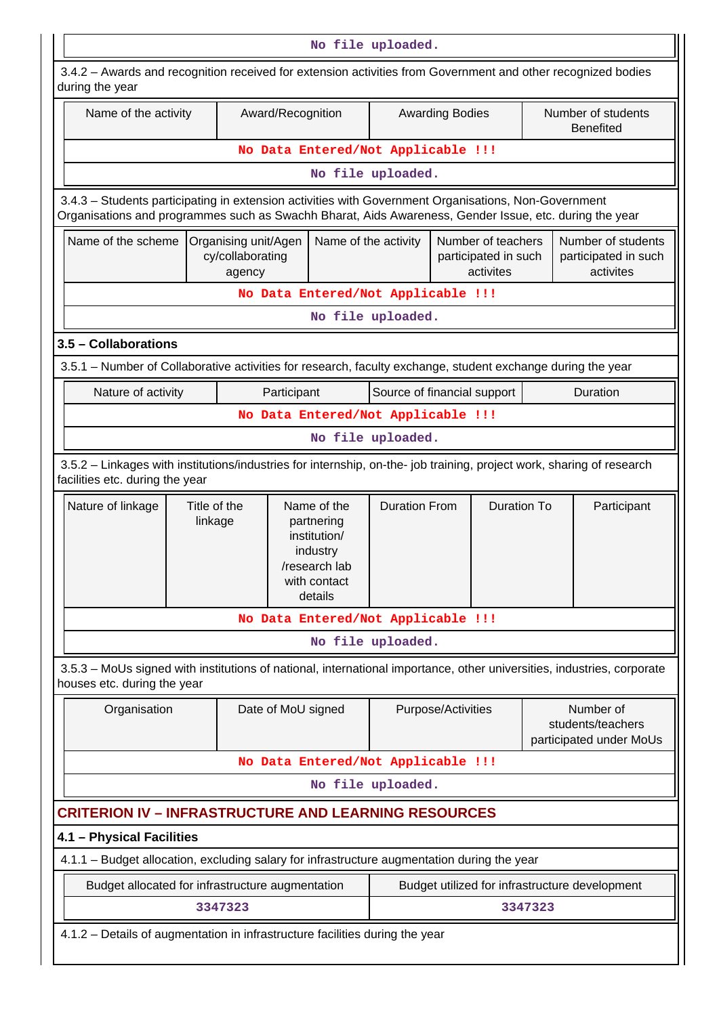|                                                                                                                                                                                                                |                                                                                                                   |  |                    |                      | No file uploaded.                  |                                                         |                                                         |                                                           |  |
|----------------------------------------------------------------------------------------------------------------------------------------------------------------------------------------------------------------|-------------------------------------------------------------------------------------------------------------------|--|--------------------|----------------------|------------------------------------|---------------------------------------------------------|---------------------------------------------------------|-----------------------------------------------------------|--|
| 3.4.2 - Awards and recognition received for extension activities from Government and other recognized bodies<br>during the year                                                                                |                                                                                                                   |  |                    |                      |                                    |                                                         |                                                         |                                                           |  |
| Name of the activity                                                                                                                                                                                           |                                                                                                                   |  | Award/Recognition  |                      |                                    | <b>Awarding Bodies</b>                                  |                                                         | Number of students<br><b>Benefited</b>                    |  |
|                                                                                                                                                                                                                |                                                                                                                   |  |                    |                      | No Data Entered/Not Applicable !!! |                                                         |                                                         |                                                           |  |
|                                                                                                                                                                                                                |                                                                                                                   |  |                    |                      | No file uploaded.                  |                                                         |                                                         |                                                           |  |
| 3.4.3 - Students participating in extension activities with Government Organisations, Non-Government<br>Organisations and programmes such as Swachh Bharat, Aids Awareness, Gender Issue, etc. during the year |                                                                                                                   |  |                    |                      |                                    |                                                         |                                                         |                                                           |  |
| Name of the scheme<br>Organising unit/Agen<br>cy/collaborating<br>agency                                                                                                                                       |                                                                                                                   |  |                    | Name of the activity |                                    | Number of teachers<br>participated in such<br>activites | Number of students<br>participated in such<br>activites |                                                           |  |
|                                                                                                                                                                                                                |                                                                                                                   |  |                    |                      | No Data Entered/Not Applicable !!! |                                                         |                                                         |                                                           |  |
|                                                                                                                                                                                                                |                                                                                                                   |  |                    |                      | No file uploaded.                  |                                                         |                                                         |                                                           |  |
| 3.5 - Collaborations                                                                                                                                                                                           |                                                                                                                   |  |                    |                      |                                    |                                                         |                                                         |                                                           |  |
| 3.5.1 - Number of Collaborative activities for research, faculty exchange, student exchange during the year                                                                                                    |                                                                                                                   |  |                    |                      |                                    |                                                         |                                                         |                                                           |  |
|                                                                                                                                                                                                                | Source of financial support<br>Duration<br>Nature of activity<br>Participant                                      |  |                    |                      |                                    |                                                         |                                                         |                                                           |  |
| No Data Entered/Not Applicable !!!                                                                                                                                                                             |                                                                                                                   |  |                    |                      |                                    |                                                         |                                                         |                                                           |  |
|                                                                                                                                                                                                                |                                                                                                                   |  |                    |                      | No file uploaded.                  |                                                         |                                                         |                                                           |  |
| 3.5.2 - Linkages with institutions/industries for internship, on-the- job training, project work, sharing of research<br>facilities etc. during the year                                                       |                                                                                                                   |  |                    |                      |                                    |                                                         |                                                         |                                                           |  |
| Nature of linkage                                                                                                                                                                                              | Title of the<br>Name of the<br>linkage<br>partnering<br>institution/<br>industry<br>/research lab<br>with contact |  |                    | details              | <b>Duration From</b>               |                                                         | Duration To                                             | Participant                                               |  |
|                                                                                                                                                                                                                |                                                                                                                   |  |                    |                      | No Data Entered/Not Applicable !!! |                                                         |                                                         |                                                           |  |
|                                                                                                                                                                                                                |                                                                                                                   |  |                    |                      | No file uploaded.                  |                                                         |                                                         |                                                           |  |
| 3.5.3 - MoUs signed with institutions of national, international importance, other universities, industries, corporate<br>houses etc. during the year                                                          |                                                                                                                   |  |                    |                      |                                    |                                                         |                                                         |                                                           |  |
| Organisation                                                                                                                                                                                                   |                                                                                                                   |  | Date of MoU signed |                      |                                    | Purpose/Activities                                      |                                                         | Number of<br>students/teachers<br>participated under MoUs |  |
|                                                                                                                                                                                                                |                                                                                                                   |  |                    |                      | No Data Entered/Not Applicable !!! |                                                         |                                                         |                                                           |  |
|                                                                                                                                                                                                                |                                                                                                                   |  |                    |                      | No file uploaded.                  |                                                         |                                                         |                                                           |  |
| <b>CRITERION IV - INFRASTRUCTURE AND LEARNING RESOURCES</b>                                                                                                                                                    |                                                                                                                   |  |                    |                      |                                    |                                                         |                                                         |                                                           |  |
| 4.1 - Physical Facilities                                                                                                                                                                                      |                                                                                                                   |  |                    |                      |                                    |                                                         |                                                         |                                                           |  |
| 4.1.1 - Budget allocation, excluding salary for infrastructure augmentation during the year                                                                                                                    |                                                                                                                   |  |                    |                      |                                    |                                                         |                                                         |                                                           |  |
|                                                                                                                                                                                                                |                                                                                                                   |  |                    |                      |                                    |                                                         |                                                         |                                                           |  |
| Budget allocated for infrastructure augmentation<br>Budget utilized for infrastructure development<br>3347323<br>3347323                                                                                       |                                                                                                                   |  |                    |                      |                                    |                                                         |                                                         |                                                           |  |
| 4.1.2 - Details of augmentation in infrastructure facilities during the year                                                                                                                                   |                                                                                                                   |  |                    |                      |                                    |                                                         |                                                         |                                                           |  |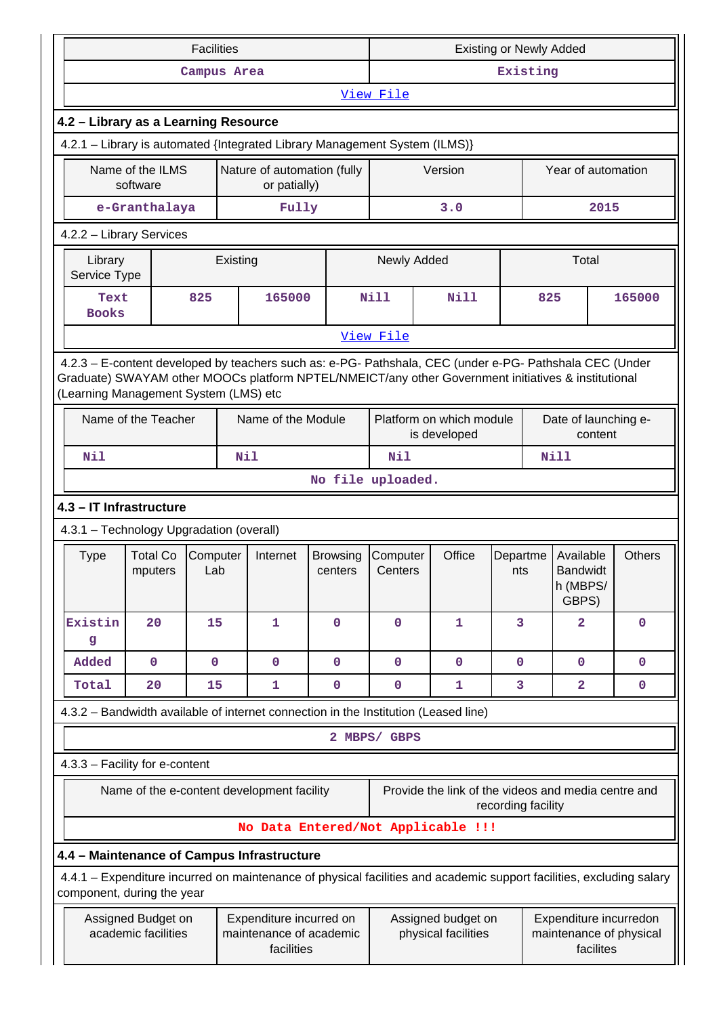|                                      |                                            | <b>Facilities</b> |  |                                                                  |                                                                                     | <b>Existing or Newly Added</b>                                                                              |                                                                                                                                                                                                                |                    |             |                                                   |               |
|--------------------------------------|--------------------------------------------|-------------------|--|------------------------------------------------------------------|-------------------------------------------------------------------------------------|-------------------------------------------------------------------------------------------------------------|----------------------------------------------------------------------------------------------------------------------------------------------------------------------------------------------------------------|--------------------|-------------|---------------------------------------------------|---------------|
|                                      |                                            | Campus Area       |  |                                                                  |                                                                                     | Existing                                                                                                    |                                                                                                                                                                                                                |                    |             |                                                   |               |
|                                      |                                            |                   |  |                                                                  |                                                                                     | View File                                                                                                   |                                                                                                                                                                                                                |                    |             |                                                   |               |
| 4.2 - Library as a Learning Resource |                                            |                   |  |                                                                  |                                                                                     |                                                                                                             |                                                                                                                                                                                                                |                    |             |                                                   |               |
|                                      |                                            |                   |  |                                                                  | 4.2.1 - Library is automated {Integrated Library Management System (ILMS)}          |                                                                                                             |                                                                                                                                                                                                                |                    |             |                                                   |               |
|                                      | Name of the ILMS<br>software               |                   |  | Nature of automation (fully<br>or patially)                      |                                                                                     |                                                                                                             | Version                                                                                                                                                                                                        |                    |             | Year of automation                                |               |
|                                      | e-Granthalaya                              |                   |  | Fully                                                            |                                                                                     |                                                                                                             | 3.0                                                                                                                                                                                                            |                    |             | 2015                                              |               |
|                                      | 4.2.2 - Library Services                   |                   |  |                                                                  |                                                                                     |                                                                                                             |                                                                                                                                                                                                                |                    |             |                                                   |               |
|                                      | Library<br>Existing<br>Service Type        |                   |  |                                                                  | Newly Added                                                                         |                                                                                                             |                                                                                                                                                                                                                |                    | Total       |                                                   |               |
|                                      | 165000<br>825<br>Text<br><b>Books</b>      |                   |  | <b>Nill</b>                                                      | <b>Nill</b>                                                                         |                                                                                                             | 825                                                                                                                                                                                                            |                    | 165000      |                                                   |               |
|                                      |                                            |                   |  |                                                                  | View File                                                                           |                                                                                                             |                                                                                                                                                                                                                |                    |             |                                                   |               |
|                                      | (Learning Management System (LMS) etc      |                   |  |                                                                  |                                                                                     |                                                                                                             | 4.2.3 - E-content developed by teachers such as: e-PG- Pathshala, CEC (under e-PG- Pathshala CEC (Under<br>Graduate) SWAYAM other MOOCs platform NPTEL/NMEICT/any other Government initiatives & institutional |                    |             |                                                   |               |
|                                      | Name of the Teacher<br>Name of the Module  |                   |  |                                                                  |                                                                                     |                                                                                                             | Platform on which module<br>is developed                                                                                                                                                                       |                    |             | Date of launching e-<br>content                   |               |
| Nil<br>Nil                           |                                            |                   |  |                                                                  | Nil                                                                                 |                                                                                                             |                                                                                                                                                                                                                |                    | <b>Nill</b> |                                                   |               |
| No file uploaded.                    |                                            |                   |  |                                                                  |                                                                                     |                                                                                                             |                                                                                                                                                                                                                |                    |             |                                                   |               |
|                                      | 4.3 - IT Infrastructure                    |                   |  |                                                                  |                                                                                     |                                                                                                             |                                                                                                                                                                                                                |                    |             |                                                   |               |
|                                      | 4.3.1 - Technology Upgradation (overall)   |                   |  |                                                                  |                                                                                     |                                                                                                             |                                                                                                                                                                                                                |                    |             |                                                   |               |
| <b>Type</b>                          | <b>Total Co</b><br>mputers                 | Computer<br>Lab   |  | Internet                                                         | <b>Browsing</b><br>centers                                                          | Computer<br>Centers                                                                                         | Office                                                                                                                                                                                                         | Departme<br>nts    |             | Available<br><b>Bandwidt</b><br>h (MBPS/<br>GBPS) | <b>Others</b> |
| Existin<br>g                         | 20                                         | 15                |  | 1                                                                | $\mathbf 0$                                                                         | $\mathbf 0$                                                                                                 | 1                                                                                                                                                                                                              | 3                  |             | $\mathbf{2}$                                      | $\mathbf 0$   |
| Added                                | $\mathbf 0$                                | $\mathbf 0$       |  | $\mathbf 0$                                                      | $\mathbf 0$                                                                         | $\mathbf{0}$                                                                                                | $\mathbf{0}$                                                                                                                                                                                                   | $\mathbf 0$        |             | 0                                                 | $\mathbf 0$   |
| Total                                | 20                                         | 15                |  | 1                                                                | 0                                                                                   | 0                                                                                                           | 1                                                                                                                                                                                                              | 3                  |             | $\mathbf{2}$                                      | $\mathbf 0$   |
|                                      |                                            |                   |  |                                                                  | 4.3.2 - Bandwidth available of internet connection in the Institution (Leased line) |                                                                                                             |                                                                                                                                                                                                                |                    |             |                                                   |               |
|                                      |                                            |                   |  |                                                                  |                                                                                     | 2 MBPS/ GBPS                                                                                                |                                                                                                                                                                                                                |                    |             |                                                   |               |
|                                      | 4.3.3 - Facility for e-content             |                   |  |                                                                  |                                                                                     |                                                                                                             |                                                                                                                                                                                                                |                    |             |                                                   |               |
|                                      | Name of the e-content development facility |                   |  |                                                                  |                                                                                     |                                                                                                             | Provide the link of the videos and media centre and                                                                                                                                                            | recording facility |             |                                                   |               |
|                                      |                                            |                   |  |                                                                  |                                                                                     |                                                                                                             | No Data Entered/Not Applicable !!!                                                                                                                                                                             |                    |             |                                                   |               |
|                                      | 4.4 - Maintenance of Campus Infrastructure |                   |  |                                                                  |                                                                                     |                                                                                                             |                                                                                                                                                                                                                |                    |             |                                                   |               |
|                                      | component, during the year                 |                   |  |                                                                  |                                                                                     |                                                                                                             | 4.4.1 – Expenditure incurred on maintenance of physical facilities and academic support facilities, excluding salary                                                                                           |                    |             |                                                   |               |
|                                      | Assigned Budget on<br>academic facilities  |                   |  | Expenditure incurred on<br>maintenance of academic<br>facilities |                                                                                     | Expenditure incurredon<br>Assigned budget on<br>physical facilities<br>maintenance of physical<br>facilites |                                                                                                                                                                                                                |                    |             |                                                   |               |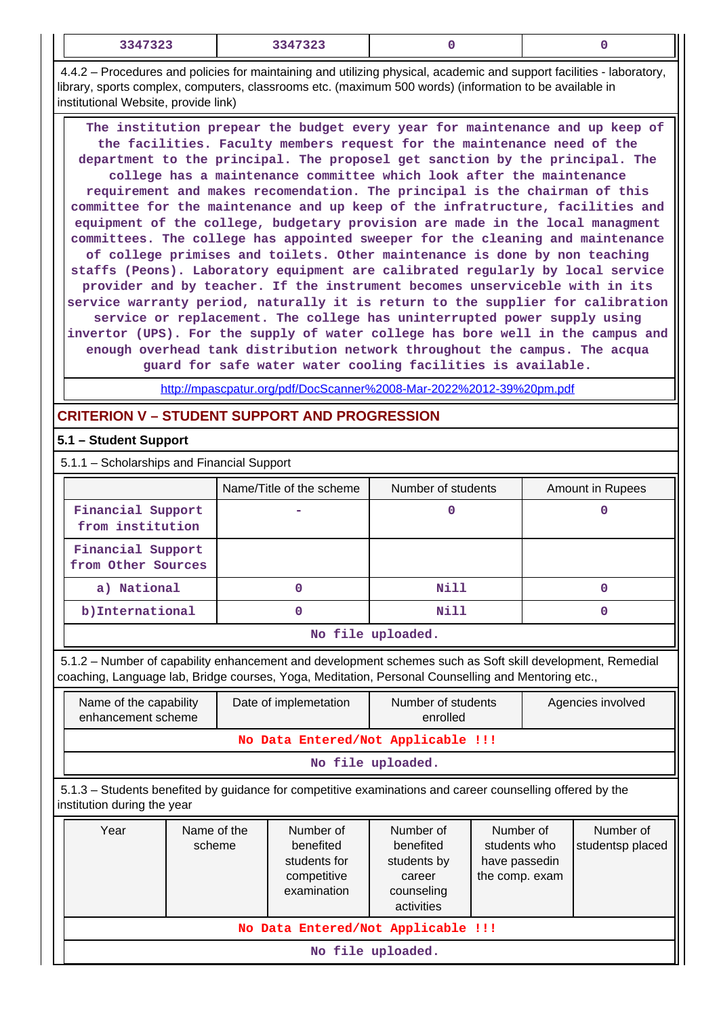|  | 3347323<br>------- | $3317393$<br>د ۲ |  |  |
|--|--------------------|------------------|--|--|
|--|--------------------|------------------|--|--|

 4.4.2 – Procedures and policies for maintaining and utilizing physical, academic and support facilities - laboratory, library, sports complex, computers, classrooms etc. (maximum 500 words) (information to be available in institutional Website, provide link)

 **The institution prepear the budget every year for maintenance and up keep of the facilities. Faculty members request for the maintenance need of the department to the principal. The proposel get sanction by the principal. The college has a maintenance committee which look after the maintenance requirement and makes recomendation. The principal is the chairman of this committee for the maintenance and up keep of the infratructure, facilities and equipment of the college, budgetary provision are made in the local managment committees. The college has appointed sweeper for the cleaning and maintenance of college primises and toilets. Other maintenance is done by non teaching staffs (Peons). Laboratory equipment are calibrated regularly by local service provider and by teacher. If the instrument becomes unserviceble with in its service warranty period, naturally it is return to the supplier for calibration service or replacement. The college has uninterrupted power supply using invertor (UPS). For the supply of water college has bore well in the campus and enough overhead tank distribution network throughout the campus. The acqua guard for safe water water cooling facilities is available.**

<http://mpascpatur.org/pdf/DocScanner%2008-Mar-2022%2012-39%20pm.pdf>

# **CRITERION V – STUDENT SUPPORT AND PROGRESSION**

### **5.1 – Student Support**

5.1.1 – Scholarships and Financial Support

|                                         | Name/Title of the scheme | Number of students | Amount in Rupees |
|-----------------------------------------|--------------------------|--------------------|------------------|
| Financial Support<br>from institution   |                          |                    |                  |
| Financial Support<br>from Other Sources |                          |                    |                  |
| a) National                             | 0                        | Nill               |                  |
| b) International                        |                          | Nill               |                  |
|                                         |                          | No file uploaded.  |                  |

 5.1.2 – Number of capability enhancement and development schemes such as Soft skill development, Remedial coaching, Language lab, Bridge courses, Yoga, Meditation, Personal Counselling and Mentoring etc.,

| Name of the capability<br>enhancement scheme                                                                                             |                       |  | Date of implemetation                                                | Number of students<br>enrolled                                              |                                                              |  | Agencies involved             |
|------------------------------------------------------------------------------------------------------------------------------------------|-----------------------|--|----------------------------------------------------------------------|-----------------------------------------------------------------------------|--------------------------------------------------------------|--|-------------------------------|
| No Data Entered/Not Applicable !!!                                                                                                       |                       |  |                                                                      |                                                                             |                                                              |  |                               |
| No file uploaded.                                                                                                                        |                       |  |                                                                      |                                                                             |                                                              |  |                               |
| 5.1.3 – Students benefited by guidance for competitive examinations and career counselling offered by the<br>institution during the year |                       |  |                                                                      |                                                                             |                                                              |  |                               |
| Year                                                                                                                                     | Name of the<br>scheme |  | Number of<br>benefited<br>students for<br>competitive<br>examination | Number of<br>benefited<br>students by<br>career<br>counseling<br>activities | Number of<br>students who<br>have passedin<br>the comp. exam |  | Number of<br>studentsp placed |
| No Data Entered/Not Applicable !!!                                                                                                       |                       |  |                                                                      |                                                                             |                                                              |  |                               |
|                                                                                                                                          |                       |  |                                                                      | No file uploaded.                                                           |                                                              |  |                               |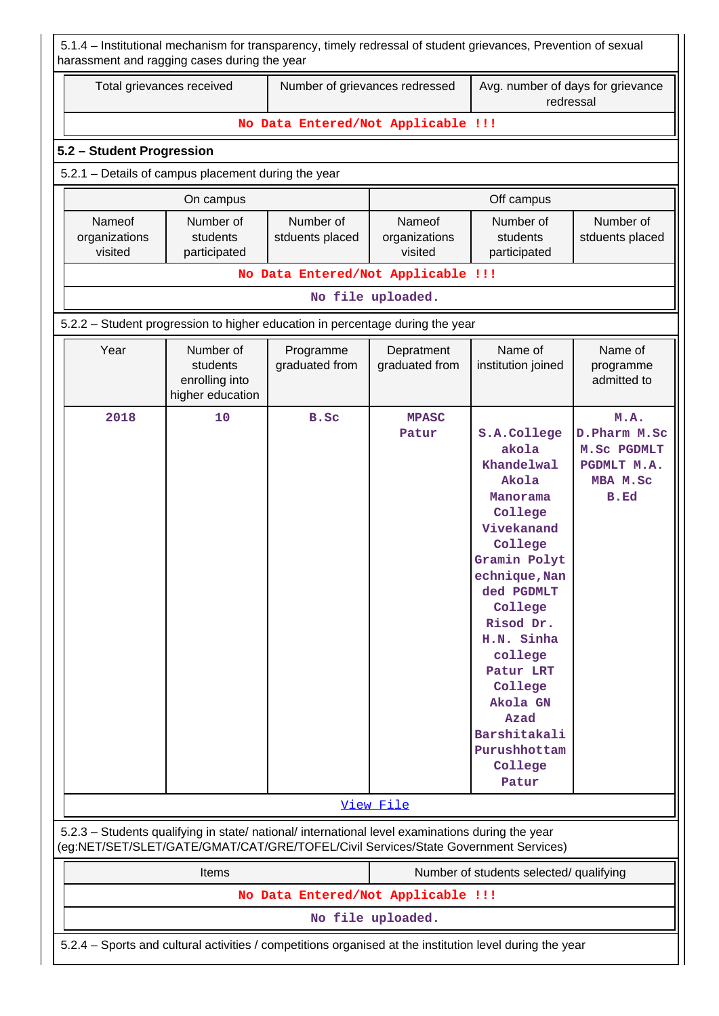| 5.1.4 – Institutional mechanism for transparency, timely redressal of student grievances, Prevention of sexual<br>harassment and ragging cases during the year                         |                                                             |                                    |                                    |                                                                                                                                                                                                                                                                                                    |                                                                          |  |  |
|----------------------------------------------------------------------------------------------------------------------------------------------------------------------------------------|-------------------------------------------------------------|------------------------------------|------------------------------------|----------------------------------------------------------------------------------------------------------------------------------------------------------------------------------------------------------------------------------------------------------------------------------------------------|--------------------------------------------------------------------------|--|--|
| Total grievances received                                                                                                                                                              |                                                             | Number of grievances redressed     |                                    | Avg. number of days for grievance<br>redressal                                                                                                                                                                                                                                                     |                                                                          |  |  |
|                                                                                                                                                                                        |                                                             | No Data Entered/Not Applicable !!! |                                    |                                                                                                                                                                                                                                                                                                    |                                                                          |  |  |
|                                                                                                                                                                                        | 5.2 - Student Progression                                   |                                    |                                    |                                                                                                                                                                                                                                                                                                    |                                                                          |  |  |
| 5.2.1 – Details of campus placement during the year                                                                                                                                    |                                                             |                                    |                                    |                                                                                                                                                                                                                                                                                                    |                                                                          |  |  |
|                                                                                                                                                                                        | On campus                                                   |                                    |                                    | Off campus                                                                                                                                                                                                                                                                                         |                                                                          |  |  |
| Nameof<br>organizations<br>visited                                                                                                                                                     | Number of<br>students<br>participated                       | Number of<br>stduents placed       | Nameof<br>organizations<br>visited | Number of<br>students<br>participated                                                                                                                                                                                                                                                              | Number of<br>stduents placed                                             |  |  |
|                                                                                                                                                                                        |                                                             | No Data Entered/Not Applicable !!! |                                    |                                                                                                                                                                                                                                                                                                    |                                                                          |  |  |
|                                                                                                                                                                                        |                                                             |                                    | No file uploaded.                  |                                                                                                                                                                                                                                                                                                    |                                                                          |  |  |
| 5.2.2 - Student progression to higher education in percentage during the year                                                                                                          |                                                             |                                    |                                    |                                                                                                                                                                                                                                                                                                    |                                                                          |  |  |
| Year                                                                                                                                                                                   | Number of<br>students<br>enrolling into<br>higher education | Programme<br>graduated from        | Depratment<br>graduated from       | Name of<br>institution joined                                                                                                                                                                                                                                                                      | Name of<br>programme<br>admitted to                                      |  |  |
| 2018                                                                                                                                                                                   | 10                                                          | B.Sc                               | <b>MPASC</b><br>Patur              | S.A.College<br>akola<br>Khandelwal<br>Akola<br>Manorama<br>College<br>Vivekanand<br>College<br>Gramin Polyt<br>echnique, Nan<br>ded PGDMLT<br>College<br>Risod Dr.<br>H.N. Sinha<br>college<br>Patur LRT<br>College<br>Akola GN<br><b>Azad</b><br>Barshitakali<br>Purushhottam<br>College<br>Patur | M.A.<br>D. Pharm M. Sc<br>M.Sc PGDMLT<br>PGDMLT M.A.<br>MBA M.Sc<br>B.Ed |  |  |
|                                                                                                                                                                                        |                                                             |                                    | View File                          |                                                                                                                                                                                                                                                                                                    |                                                                          |  |  |
| 5.2.3 - Students qualifying in state/ national/ international level examinations during the year<br>(eg:NET/SET/SLET/GATE/GMAT/CAT/GRE/TOFEL/Civil Services/State Government Services) |                                                             |                                    |                                    |                                                                                                                                                                                                                                                                                                    |                                                                          |  |  |
|                                                                                                                                                                                        | Items                                                       |                                    |                                    | Number of students selected/ qualifying                                                                                                                                                                                                                                                            |                                                                          |  |  |
|                                                                                                                                                                                        |                                                             | No Data Entered/Not Applicable !!! |                                    |                                                                                                                                                                                                                                                                                                    |                                                                          |  |  |
|                                                                                                                                                                                        |                                                             |                                    | No file uploaded.                  |                                                                                                                                                                                                                                                                                                    |                                                                          |  |  |
| 5.2.4 - Sports and cultural activities / competitions organised at the institution level during the year                                                                               |                                                             |                                    |                                    |                                                                                                                                                                                                                                                                                                    |                                                                          |  |  |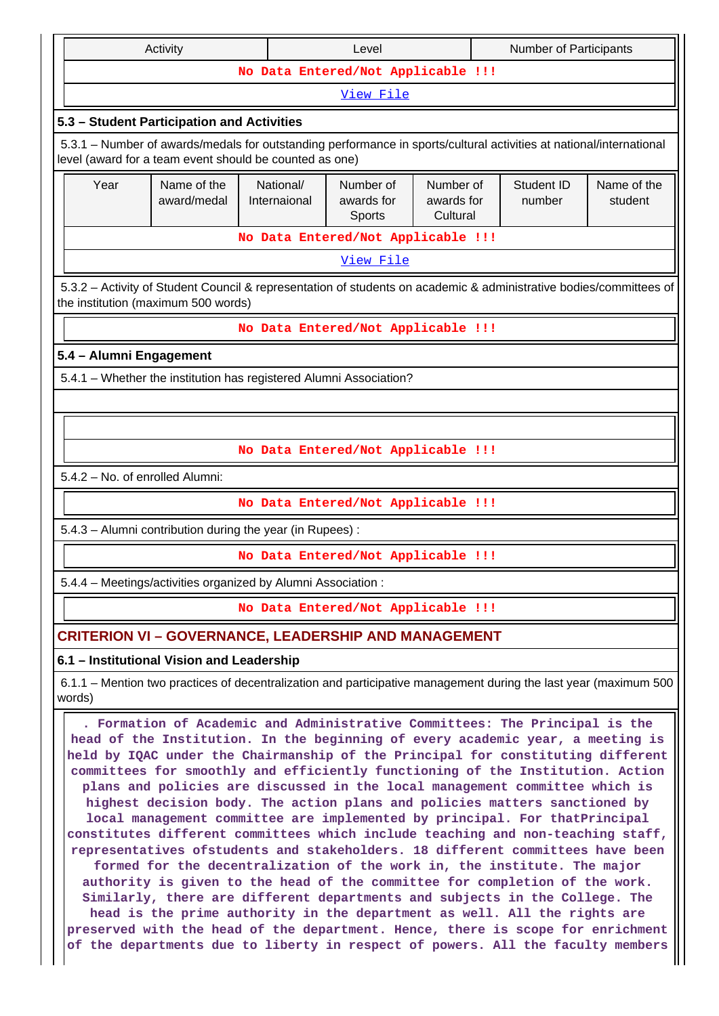| Activity<br>Number of Participants<br>Level |                                                                                                                                                                                                                                                                                                                                                                                                                                                                                                                                                                                                                                                                                                                                                                                                                                                                                                                                                                                                                                                                                                                                                                                                                                                 |                                    |                                   |                                     |  |                      |                        |
|---------------------------------------------|-------------------------------------------------------------------------------------------------------------------------------------------------------------------------------------------------------------------------------------------------------------------------------------------------------------------------------------------------------------------------------------------------------------------------------------------------------------------------------------------------------------------------------------------------------------------------------------------------------------------------------------------------------------------------------------------------------------------------------------------------------------------------------------------------------------------------------------------------------------------------------------------------------------------------------------------------------------------------------------------------------------------------------------------------------------------------------------------------------------------------------------------------------------------------------------------------------------------------------------------------|------------------------------------|-----------------------------------|-------------------------------------|--|----------------------|------------------------|
|                                             |                                                                                                                                                                                                                                                                                                                                                                                                                                                                                                                                                                                                                                                                                                                                                                                                                                                                                                                                                                                                                                                                                                                                                                                                                                                 | No Data Entered/Not Applicable !!! |                                   |                                     |  |                      |                        |
|                                             |                                                                                                                                                                                                                                                                                                                                                                                                                                                                                                                                                                                                                                                                                                                                                                                                                                                                                                                                                                                                                                                                                                                                                                                                                                                 |                                    | View File                         |                                     |  |                      |                        |
|                                             | 5.3 - Student Participation and Activities                                                                                                                                                                                                                                                                                                                                                                                                                                                                                                                                                                                                                                                                                                                                                                                                                                                                                                                                                                                                                                                                                                                                                                                                      |                                    |                                   |                                     |  |                      |                        |
|                                             | 5.3.1 – Number of awards/medals for outstanding performance in sports/cultural activities at national/international<br>level (award for a team event should be counted as one)                                                                                                                                                                                                                                                                                                                                                                                                                                                                                                                                                                                                                                                                                                                                                                                                                                                                                                                                                                                                                                                                  |                                    |                                   |                                     |  |                      |                        |
| Year                                        | Name of the<br>award/medal                                                                                                                                                                                                                                                                                                                                                                                                                                                                                                                                                                                                                                                                                                                                                                                                                                                                                                                                                                                                                                                                                                                                                                                                                      | National/<br>Internaional          | Number of<br>awards for<br>Sports | Number of<br>awards for<br>Cultural |  | Student ID<br>number | Name of the<br>student |
|                                             |                                                                                                                                                                                                                                                                                                                                                                                                                                                                                                                                                                                                                                                                                                                                                                                                                                                                                                                                                                                                                                                                                                                                                                                                                                                 | No Data Entered/Not Applicable !!! |                                   |                                     |  |                      |                        |
| View File                                   |                                                                                                                                                                                                                                                                                                                                                                                                                                                                                                                                                                                                                                                                                                                                                                                                                                                                                                                                                                                                                                                                                                                                                                                                                                                 |                                    |                                   |                                     |  |                      |                        |
|                                             | 5.3.2 – Activity of Student Council & representation of students on academic & administrative bodies/committees of<br>the institution (maximum 500 words)                                                                                                                                                                                                                                                                                                                                                                                                                                                                                                                                                                                                                                                                                                                                                                                                                                                                                                                                                                                                                                                                                       |                                    |                                   |                                     |  |                      |                        |
|                                             |                                                                                                                                                                                                                                                                                                                                                                                                                                                                                                                                                                                                                                                                                                                                                                                                                                                                                                                                                                                                                                                                                                                                                                                                                                                 | No Data Entered/Not Applicable !!! |                                   |                                     |  |                      |                        |
| 5.4 - Alumni Engagement                     |                                                                                                                                                                                                                                                                                                                                                                                                                                                                                                                                                                                                                                                                                                                                                                                                                                                                                                                                                                                                                                                                                                                                                                                                                                                 |                                    |                                   |                                     |  |                      |                        |
|                                             | 5.4.1 - Whether the institution has registered Alumni Association?                                                                                                                                                                                                                                                                                                                                                                                                                                                                                                                                                                                                                                                                                                                                                                                                                                                                                                                                                                                                                                                                                                                                                                              |                                    |                                   |                                     |  |                      |                        |
|                                             |                                                                                                                                                                                                                                                                                                                                                                                                                                                                                                                                                                                                                                                                                                                                                                                                                                                                                                                                                                                                                                                                                                                                                                                                                                                 |                                    |                                   |                                     |  |                      |                        |
|                                             |                                                                                                                                                                                                                                                                                                                                                                                                                                                                                                                                                                                                                                                                                                                                                                                                                                                                                                                                                                                                                                                                                                                                                                                                                                                 |                                    |                                   |                                     |  |                      |                        |
|                                             |                                                                                                                                                                                                                                                                                                                                                                                                                                                                                                                                                                                                                                                                                                                                                                                                                                                                                                                                                                                                                                                                                                                                                                                                                                                 | No Data Entered/Not Applicable !!! |                                   |                                     |  |                      |                        |
| 5.4.2 - No. of enrolled Alumni:             |                                                                                                                                                                                                                                                                                                                                                                                                                                                                                                                                                                                                                                                                                                                                                                                                                                                                                                                                                                                                                                                                                                                                                                                                                                                 |                                    |                                   |                                     |  |                      |                        |
|                                             |                                                                                                                                                                                                                                                                                                                                                                                                                                                                                                                                                                                                                                                                                                                                                                                                                                                                                                                                                                                                                                                                                                                                                                                                                                                 | No Data Entered/Not Applicable !!! |                                   |                                     |  |                      |                        |
|                                             | 5.4.3 - Alumni contribution during the year (in Rupees):                                                                                                                                                                                                                                                                                                                                                                                                                                                                                                                                                                                                                                                                                                                                                                                                                                                                                                                                                                                                                                                                                                                                                                                        |                                    |                                   |                                     |  |                      |                        |
|                                             |                                                                                                                                                                                                                                                                                                                                                                                                                                                                                                                                                                                                                                                                                                                                                                                                                                                                                                                                                                                                                                                                                                                                                                                                                                                 | No Data Entered/Not Applicable !!! |                                   |                                     |  |                      |                        |
|                                             | 5.4.4 - Meetings/activities organized by Alumni Association:                                                                                                                                                                                                                                                                                                                                                                                                                                                                                                                                                                                                                                                                                                                                                                                                                                                                                                                                                                                                                                                                                                                                                                                    |                                    |                                   |                                     |  |                      |                        |
|                                             |                                                                                                                                                                                                                                                                                                                                                                                                                                                                                                                                                                                                                                                                                                                                                                                                                                                                                                                                                                                                                                                                                                                                                                                                                                                 | No Data Entered/Not Applicable !!! |                                   |                                     |  |                      |                        |
|                                             | <b>CRITERION VI - GOVERNANCE, LEADERSHIP AND MANAGEMENT</b>                                                                                                                                                                                                                                                                                                                                                                                                                                                                                                                                                                                                                                                                                                                                                                                                                                                                                                                                                                                                                                                                                                                                                                                     |                                    |                                   |                                     |  |                      |                        |
|                                             | 6.1 - Institutional Vision and Leadership                                                                                                                                                                                                                                                                                                                                                                                                                                                                                                                                                                                                                                                                                                                                                                                                                                                                                                                                                                                                                                                                                                                                                                                                       |                                    |                                   |                                     |  |                      |                        |
| words)                                      | 6.1.1 – Mention two practices of decentralization and participative management during the last year (maximum 500                                                                                                                                                                                                                                                                                                                                                                                                                                                                                                                                                                                                                                                                                                                                                                                                                                                                                                                                                                                                                                                                                                                                |                                    |                                   |                                     |  |                      |                        |
|                                             | . Formation of Academic and Administrative Committees: The Principal is the<br>head of the Institution. In the beginning of every academic year, a meeting is<br>held by IQAC under the Chairmanship of the Principal for constituting different<br>committees for smoothly and efficiently functioning of the Institution. Action<br>plans and policies are discussed in the local management committee which is<br>highest decision body. The action plans and policies matters sanctioned by<br>local management committee are implemented by principal. For thatPrincipal<br>constitutes different committees which include teaching and non-teaching staff,<br>representatives ofstudents and stakeholders. 18 different committees have been<br>formed for the decentralization of the work in, the institute. The major<br>authority is given to the head of the committee for completion of the work.<br>Similarly, there are different departments and subjects in the College. The<br>head is the prime authority in the department as well. All the rights are<br>preserved with the head of the department. Hence, there is scope for enrichment<br>of the departments due to liberty in respect of powers. All the faculty members |                                    |                                   |                                     |  |                      |                        |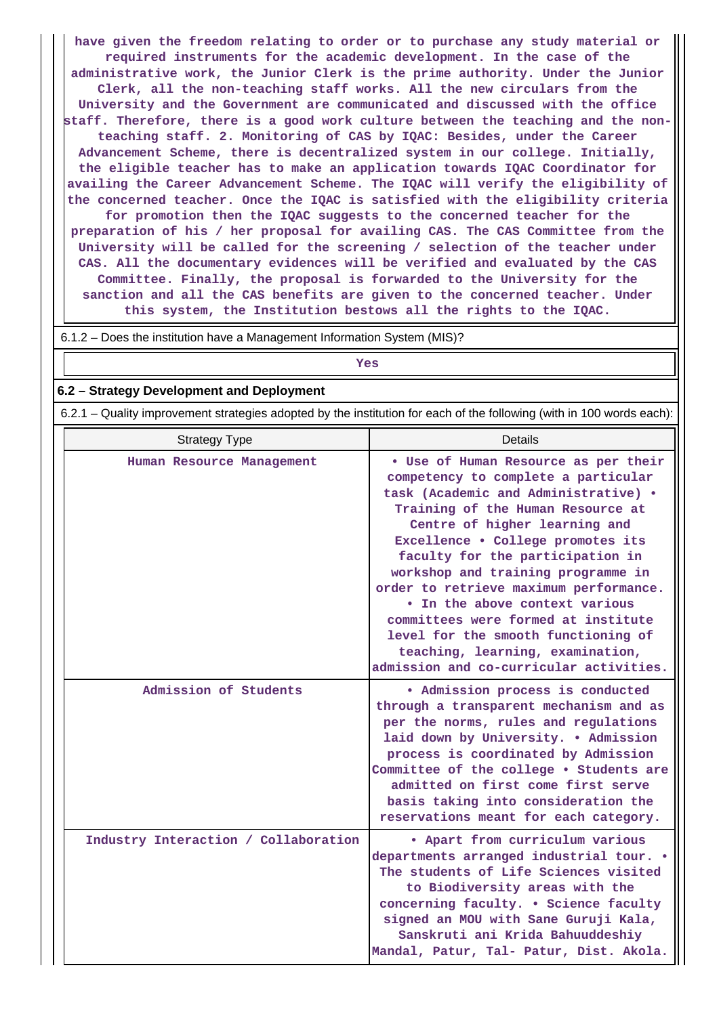**have given the freedom relating to order or to purchase any study material or required instruments for the academic development. In the case of the administrative work, the Junior Clerk is the prime authority. Under the Junior Clerk, all the non-teaching staff works. All the new circulars from the University and the Government are communicated and discussed with the office staff. Therefore, there is a good work culture between the teaching and the nonteaching staff. 2. Monitoring of CAS by IQAC: Besides, under the Career Advancement Scheme, there is decentralized system in our college. Initially, the eligible teacher has to make an application towards IQAC Coordinator for availing the Career Advancement Scheme. The IQAC will verify the eligibility of the concerned teacher. Once the IQAC is satisfied with the eligibility criteria for promotion then the IQAC suggests to the concerned teacher for the preparation of his / her proposal for availing CAS. The CAS Committee from the University will be called for the screening / selection of the teacher under CAS. All the documentary evidences will be verified and evaluated by the CAS Committee. Finally, the proposal is forwarded to the University for the sanction and all the CAS benefits are given to the concerned teacher. Under this system, the Institution bestows all the rights to the IQAC.**

6.1.2 – Does the institution have a Management Information System (MIS)?

# *Yes*

#### **6.2 – Strategy Development and Deployment**

6.2.1 – Quality improvement strategies adopted by the institution for each of the following (with in 100 words each):

| <b>Strategy Type</b>                 | <b>Details</b>                                                                                                                                                                                                                                                                                                                                                                                                                                                                                                                                    |
|--------------------------------------|---------------------------------------------------------------------------------------------------------------------------------------------------------------------------------------------------------------------------------------------------------------------------------------------------------------------------------------------------------------------------------------------------------------------------------------------------------------------------------------------------------------------------------------------------|
| Human Resource Management            | . Use of Human Resource as per their<br>competency to complete a particular<br>task (Academic and Administrative) .<br>Training of the Human Resource at<br>Centre of higher learning and<br>Excellence . College promotes its<br>faculty for the participation in<br>workshop and training programme in<br>order to retrieve maximum performance.<br>. In the above context various<br>committees were formed at institute<br>level for the smooth functioning of<br>teaching, learning, examination,<br>admission and co-curricular activities. |
| Admission of Students                | • Admission process is conducted<br>through a transparent mechanism and as<br>per the norms, rules and regulations<br>laid down by University. . Admission<br>process is coordinated by Admission<br>Committee of the college . Students are<br>admitted on first come first serve<br>basis taking into consideration the<br>reservations meant for each category.                                                                                                                                                                                |
| Industry Interaction / Collaboration | . Apart from curriculum various<br>departments arranged industrial tour. .<br>The students of Life Sciences visited<br>to Biodiversity areas with the<br>concerning faculty. . Science faculty<br>signed an MOU with Sane Guruji Kala,<br>Sanskruti ani Krida Bahuuddeshiy<br>Mandal, Patur, Tal- Patur, Dist. Akola.                                                                                                                                                                                                                             |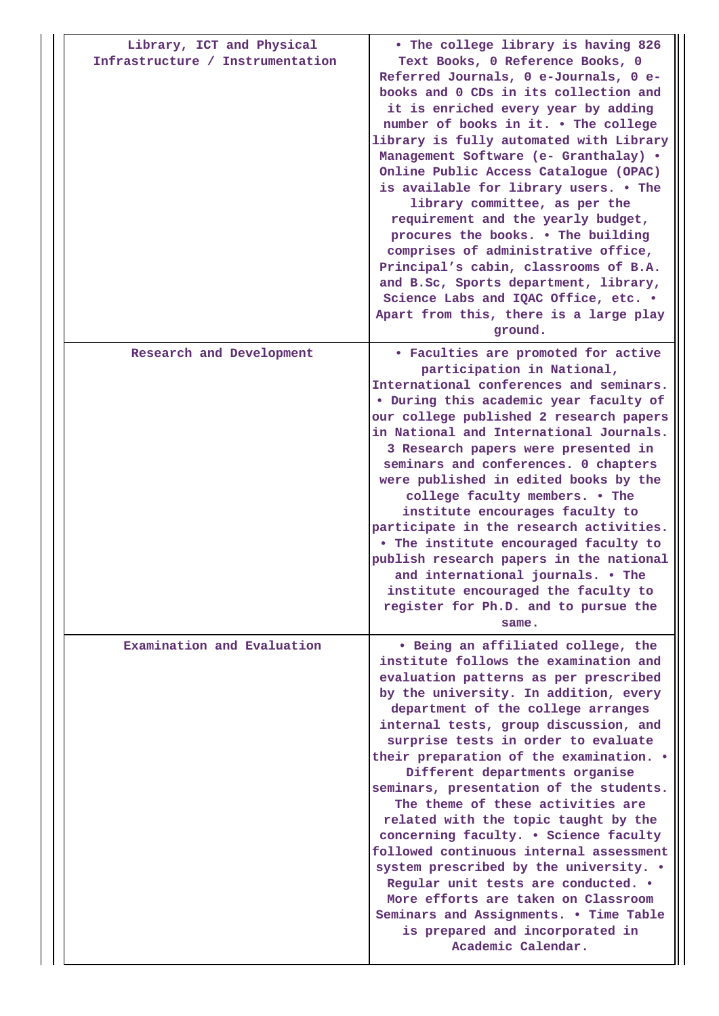| Library, ICT and Physical<br>Infrastructure / Instrumentation | . The college library is having 826<br>Text Books, 0 Reference Books, 0<br>Referred Journals, 0 e-Journals, 0 e-<br>books and 0 CDs in its collection and<br>it is enriched every year by adding<br>number of books in it. . The college<br>library is fully automated with Library<br>Management Software (e- Granthalay) .<br>Online Public Access Catalogue (OPAC)<br>is available for library users. . The<br>library committee, as per the<br>requirement and the yearly budget,<br>procures the books. . The building<br>comprises of administrative office,<br>Principal's cabin, classrooms of B.A.<br>and B.Sc, Sports department, library,<br>Science Labs and IQAC Office, etc. .<br>Apart from this, there is a large play<br>ground.                                                       |
|---------------------------------------------------------------|---------------------------------------------------------------------------------------------------------------------------------------------------------------------------------------------------------------------------------------------------------------------------------------------------------------------------------------------------------------------------------------------------------------------------------------------------------------------------------------------------------------------------------------------------------------------------------------------------------------------------------------------------------------------------------------------------------------------------------------------------------------------------------------------------------|
| Research and Development                                      | • Faculties are promoted for active<br>participation in National,<br>International conferences and seminars.<br>. During this academic year faculty of<br>our college published 2 research papers<br>in National and International Journals.<br>3 Research papers were presented in<br>seminars and conferences. 0 chapters<br>were published in edited books by the<br>college faculty members. . The<br>institute encourages faculty to<br>participate in the research activities.<br>. The institute encouraged faculty to<br>publish research papers in the national<br>and international journals. • The<br>institute encouraged the faculty to<br>register for Ph.D. and to pursue the<br>same.                                                                                                   |
| Examination and Evaluation                                    | . Being an affiliated college, the<br>institute follows the examination and<br>evaluation patterns as per prescribed<br>by the university. In addition, every<br>department of the college arranges<br>internal tests, group discussion, and<br>surprise tests in order to evaluate<br>their preparation of the examination. .<br>Different departments organise<br>seminars, presentation of the students.<br>The theme of these activities are<br>related with the topic taught by the<br>concerning faculty. . Science faculty<br>followed continuous internal assessment<br>system prescribed by the university. .<br>Regular unit tests are conducted. .<br>More efforts are taken on Classroom<br>Seminars and Assignments. . Time Table<br>is prepared and incorporated in<br>Academic Calendar. |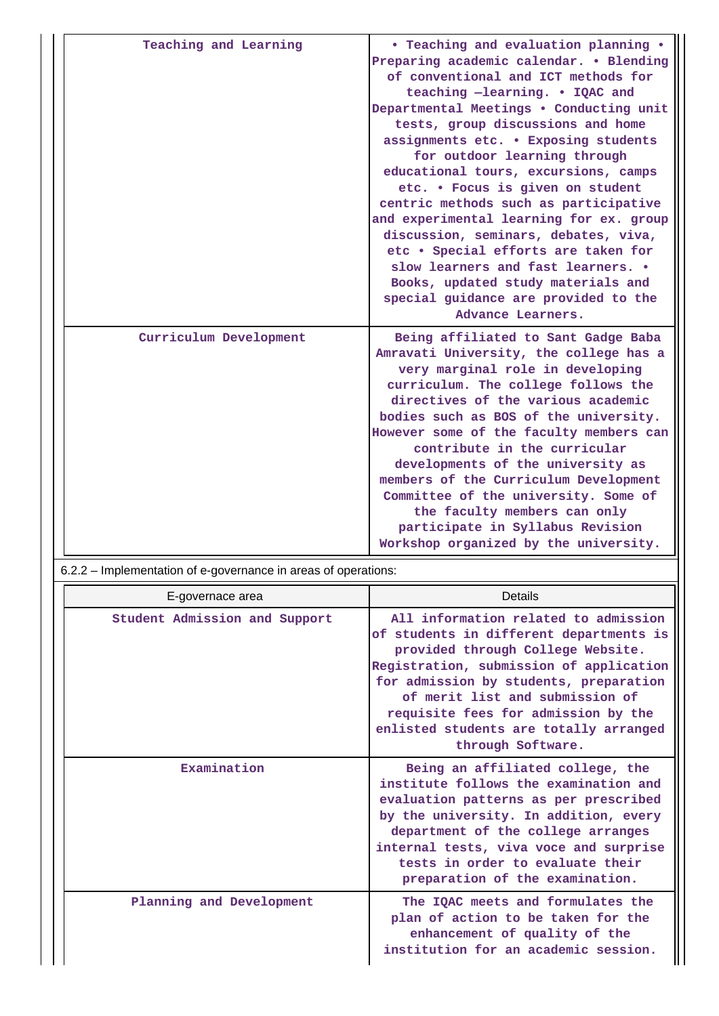| Teaching and Learning                                          | • Teaching and evaluation planning .<br>Preparing academic calendar. . Blending<br>of conventional and ICT methods for<br>teaching -learning. . IQAC and<br>Departmental Meetings . Conducting unit<br>tests, group discussions and home<br>assignments etc. . Exposing students<br>for outdoor learning through<br>educational tours, excursions, camps<br>etc. . Focus is given on student<br>centric methods such as participative<br>and experimental learning for ex. group<br>discussion, seminars, debates, viva,<br>etc . Special efforts are taken for<br>slow learners and fast learners. .<br>Books, updated study materials and<br>special guidance are provided to the<br>Advance Learners. |
|----------------------------------------------------------------|----------------------------------------------------------------------------------------------------------------------------------------------------------------------------------------------------------------------------------------------------------------------------------------------------------------------------------------------------------------------------------------------------------------------------------------------------------------------------------------------------------------------------------------------------------------------------------------------------------------------------------------------------------------------------------------------------------|
| Curriculum Development                                         | Being affiliated to Sant Gadge Baba<br>Amravati University, the college has a<br>very marginal role in developing<br>curriculum. The college follows the<br>directives of the various academic<br>bodies such as BOS of the university.<br>However some of the faculty members can<br>contribute in the curricular<br>developments of the university as<br>members of the Curriculum Development<br>Committee of the university. Some of<br>the faculty members can only<br>participate in Syllabus Revision<br>Workshop organized by the university.                                                                                                                                                    |
|                                                                |                                                                                                                                                                                                                                                                                                                                                                                                                                                                                                                                                                                                                                                                                                          |
| 6.2.2 – Implementation of e-governance in areas of operations: |                                                                                                                                                                                                                                                                                                                                                                                                                                                                                                                                                                                                                                                                                                          |
| E-governace area                                               | Details                                                                                                                                                                                                                                                                                                                                                                                                                                                                                                                                                                                                                                                                                                  |
| Student Admission and Support                                  | All information related to admission<br>of students in different departments is<br>provided through College Website.<br>Registration, submission of application<br>for admission by students, preparation<br>of merit list and submission of<br>requisite fees for admission by the<br>enlisted students are totally arranged<br>through Software.                                                                                                                                                                                                                                                                                                                                                       |
| Examination                                                    | Being an affiliated college, the<br>institute follows the examination and<br>evaluation patterns as per prescribed<br>by the university. In addition, every<br>department of the college arranges<br>internal tests, viva voce and surprise<br>tests in order to evaluate their<br>preparation of the examination.                                                                                                                                                                                                                                                                                                                                                                                       |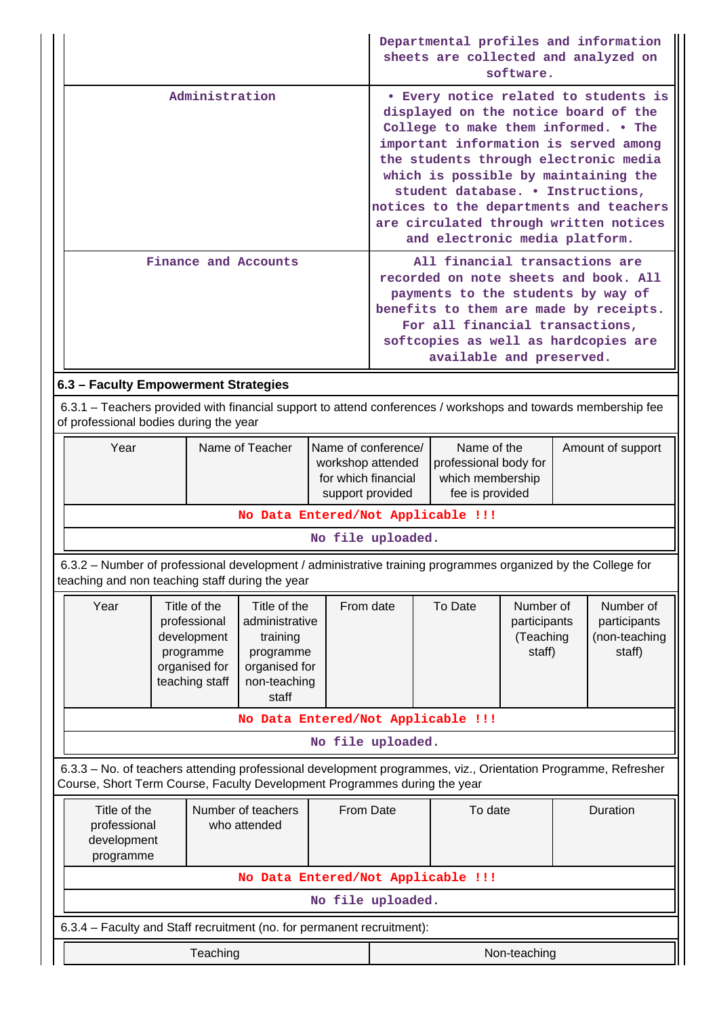|                                                                                                                                                                                                          |  |           |                                    |                   | Departmental profiles and information<br>sheets are collected and analyzed on<br>software.                                                                                                                                                                                                                                                                                                                  |          |                                                                                         |  |               |
|----------------------------------------------------------------------------------------------------------------------------------------------------------------------------------------------------------|--|-----------|------------------------------------|-------------------|-------------------------------------------------------------------------------------------------------------------------------------------------------------------------------------------------------------------------------------------------------------------------------------------------------------------------------------------------------------------------------------------------------------|----------|-----------------------------------------------------------------------------------------|--|---------------|
| Administration                                                                                                                                                                                           |  |           |                                    |                   | • Every notice related to students is<br>displayed on the notice board of the<br>College to make them informed. . The<br>important information is served among<br>the students through electronic media<br>which is possible by maintaining the<br>student database. . Instructions,<br>notices to the departments and teachers<br>are circulated through written notices<br>and electronic media platform. |          |                                                                                         |  |               |
| Finance and Accounts                                                                                                                                                                                     |  |           |                                    |                   | All financial transactions are<br>recorded on note sheets and book. All<br>payments to the students by way of<br>benefits to them are made by receipts.<br>For all financial transactions,<br>softcopies as well as hardcopies are<br>available and preserved.                                                                                                                                              |          |                                                                                         |  |               |
|                                                                                                                                                                                                          |  |           |                                    |                   |                                                                                                                                                                                                                                                                                                                                                                                                             |          |                                                                                         |  |               |
| 6.3 - Faculty Empowerment Strategies<br>6.3.1 – Teachers provided with financial support to attend conferences / workshops and towards membership fee<br>of professional bodies during the year          |  |           |                                    |                   |                                                                                                                                                                                                                                                                                                                                                                                                             |          |                                                                                         |  |               |
| Year<br>Name of Teacher<br>Name of conference/<br>workshop attended<br>for which financial<br>support provided                                                                                           |  |           |                                    |                   | Name of the<br>Amount of support<br>professional body for<br>which membership<br>fee is provided                                                                                                                                                                                                                                                                                                            |          |                                                                                         |  |               |
|                                                                                                                                                                                                          |  |           | No Data Entered/Not Applicable !!! |                   |                                                                                                                                                                                                                                                                                                                                                                                                             |          |                                                                                         |  |               |
|                                                                                                                                                                                                          |  |           |                                    | No file uploaded. |                                                                                                                                                                                                                                                                                                                                                                                                             |          |                                                                                         |  |               |
| 6.3.2 - Number of professional development / administrative training programmes organized by the College for<br>teaching and non teaching staff during the year                                          |  |           |                                    |                   |                                                                                                                                                                                                                                                                                                                                                                                                             |          |                                                                                         |  |               |
| Year<br>Title of the<br>Title of the<br>administrative<br>professional<br>development<br>training<br>programme<br>programme<br>organised for<br>organised for<br>teaching staff<br>non-teaching<br>staff |  |           |                                    | From date         |                                                                                                                                                                                                                                                                                                                                                                                                             | To Date  | Number of<br>Number of<br>participants<br>participants<br>(Teaching<br>staff)<br>staff) |  | (non-teaching |
| No Data Entered/Not Applicable !!!                                                                                                                                                                       |  |           |                                    |                   |                                                                                                                                                                                                                                                                                                                                                                                                             |          |                                                                                         |  |               |
| No file uploaded.                                                                                                                                                                                        |  |           |                                    |                   |                                                                                                                                                                                                                                                                                                                                                                                                             |          |                                                                                         |  |               |
| 6.3.3 - No. of teachers attending professional development programmes, viz., Orientation Programme, Refresher<br>Course, Short Term Course, Faculty Development Programmes during the year               |  |           |                                    |                   |                                                                                                                                                                                                                                                                                                                                                                                                             |          |                                                                                         |  |               |
| Title of the<br>Number of teachers<br>professional<br>who attended<br>development<br>programme                                                                                                           |  | From Date |                                    | To date           |                                                                                                                                                                                                                                                                                                                                                                                                             | Duration |                                                                                         |  |               |
| No Data Entered/Not Applicable !!!                                                                                                                                                                       |  |           |                                    |                   |                                                                                                                                                                                                                                                                                                                                                                                                             |          |                                                                                         |  |               |
| No file uploaded.                                                                                                                                                                                        |  |           |                                    |                   |                                                                                                                                                                                                                                                                                                                                                                                                             |          |                                                                                         |  |               |
| 6.3.4 - Faculty and Staff recruitment (no. for permanent recruitment):                                                                                                                                   |  |           |                                    |                   |                                                                                                                                                                                                                                                                                                                                                                                                             |          |                                                                                         |  |               |
| Teaching<br>Non-teaching                                                                                                                                                                                 |  |           |                                    |                   |                                                                                                                                                                                                                                                                                                                                                                                                             |          |                                                                                         |  |               |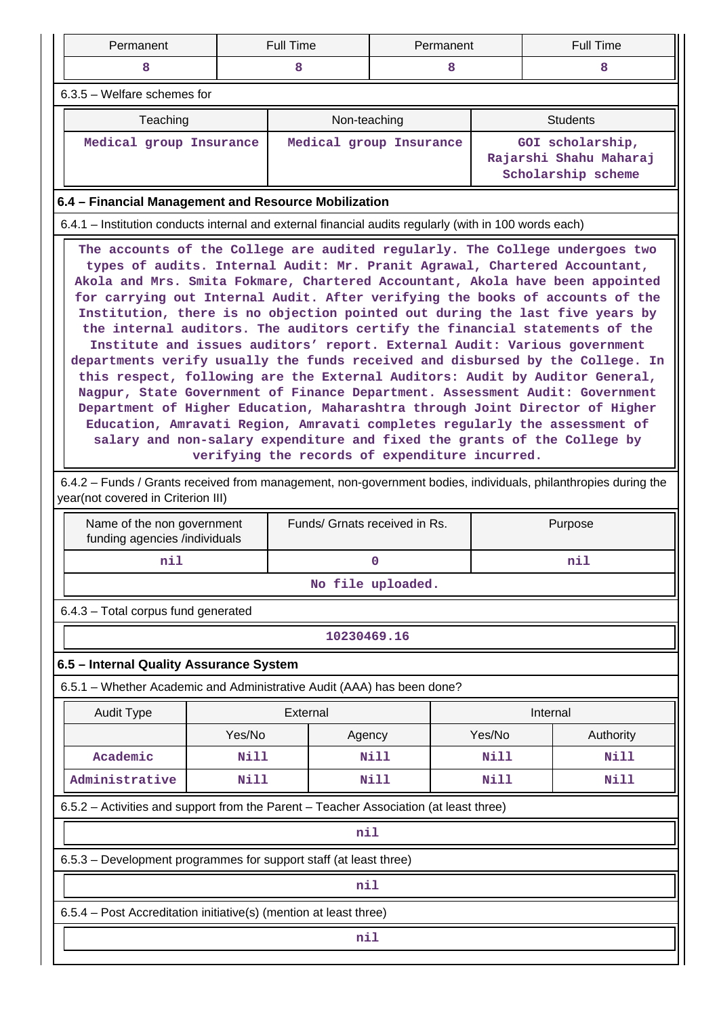| Permanent                                                                                                                                                                                                                                                                                                                                                                                                                                                                                                                                                                                                                                                                                                                                                                                                                                                                                                                                                                                                                                                                                                                                                                                                                                | <b>Full Time</b><br>Permanent                                                                                |                         |                     | <b>Full Time</b> |                                                                  |  |  |  |  |  |
|------------------------------------------------------------------------------------------------------------------------------------------------------------------------------------------------------------------------------------------------------------------------------------------------------------------------------------------------------------------------------------------------------------------------------------------------------------------------------------------------------------------------------------------------------------------------------------------------------------------------------------------------------------------------------------------------------------------------------------------------------------------------------------------------------------------------------------------------------------------------------------------------------------------------------------------------------------------------------------------------------------------------------------------------------------------------------------------------------------------------------------------------------------------------------------------------------------------------------------------|--------------------------------------------------------------------------------------------------------------|-------------------------|---------------------|------------------|------------------------------------------------------------------|--|--|--|--|--|
| 8                                                                                                                                                                                                                                                                                                                                                                                                                                                                                                                                                                                                                                                                                                                                                                                                                                                                                                                                                                                                                                                                                                                                                                                                                                        | 8<br>8                                                                                                       |                         |                     | 8                |                                                                  |  |  |  |  |  |
| $6.3.5$ – Welfare schemes for                                                                                                                                                                                                                                                                                                                                                                                                                                                                                                                                                                                                                                                                                                                                                                                                                                                                                                                                                                                                                                                                                                                                                                                                            |                                                                                                              |                         |                     |                  |                                                                  |  |  |  |  |  |
| Teaching                                                                                                                                                                                                                                                                                                                                                                                                                                                                                                                                                                                                                                                                                                                                                                                                                                                                                                                                                                                                                                                                                                                                                                                                                                 |                                                                                                              | Non-teaching            |                     |                  | <b>Students</b>                                                  |  |  |  |  |  |
| Medical group Insurance                                                                                                                                                                                                                                                                                                                                                                                                                                                                                                                                                                                                                                                                                                                                                                                                                                                                                                                                                                                                                                                                                                                                                                                                                  |                                                                                                              | Medical group Insurance |                     |                  | GOI scholarship,<br>Rajarshi Shahu Maharaj<br>Scholarship scheme |  |  |  |  |  |
| 6.4 - Financial Management and Resource Mobilization                                                                                                                                                                                                                                                                                                                                                                                                                                                                                                                                                                                                                                                                                                                                                                                                                                                                                                                                                                                                                                                                                                                                                                                     |                                                                                                              |                         |                     |                  |                                                                  |  |  |  |  |  |
| 6.4.1 – Institution conducts internal and external financial audits regularly (with in 100 words each)                                                                                                                                                                                                                                                                                                                                                                                                                                                                                                                                                                                                                                                                                                                                                                                                                                                                                                                                                                                                                                                                                                                                   |                                                                                                              |                         |                     |                  |                                                                  |  |  |  |  |  |
| The accounts of the College are audited regularly. The College undergoes two<br>types of audits. Internal Audit: Mr. Pranit Agrawal, Chartered Accountant,<br>Akola and Mrs. Smita Fokmare, Chartered Accountant, Akola have been appointed<br>for carrying out Internal Audit. After verifying the books of accounts of the<br>Institution, there is no objection pointed out during the last five years by<br>the internal auditors. The auditors certify the financial statements of the<br>Institute and issues auditors' report. External Audit: Various government<br>departments verify usually the funds received and disbursed by the College. In<br>this respect, following are the External Auditors: Audit by Auditor General,<br>Nagpur, State Government of Finance Department. Assessment Audit: Government<br>Department of Higher Education, Maharashtra through Joint Director of Higher<br>Education, Amravati Region, Amravati completes regularly the assessment of<br>salary and non-salary expenditure and fixed the grants of the College by<br>verifying the records of expenditure incurred.<br>6.4.2 – Funds / Grants received from management, non-government bodies, individuals, philanthropies during the |                                                                                                              |                         |                     |                  |                                                                  |  |  |  |  |  |
| funding agencies /individuals                                                                                                                                                                                                                                                                                                                                                                                                                                                                                                                                                                                                                                                                                                                                                                                                                                                                                                                                                                                                                                                                                                                                                                                                            | year(not covered in Criterion III)<br>Funds/ Grnats received in Rs.<br>Purpose<br>Name of the non government |                         |                     |                  |                                                                  |  |  |  |  |  |
| nil<br>nil<br>$\mathbf 0$                                                                                                                                                                                                                                                                                                                                                                                                                                                                                                                                                                                                                                                                                                                                                                                                                                                                                                                                                                                                                                                                                                                                                                                                                |                                                                                                              |                         |                     |                  |                                                                  |  |  |  |  |  |
| No file uploaded.                                                                                                                                                                                                                                                                                                                                                                                                                                                                                                                                                                                                                                                                                                                                                                                                                                                                                                                                                                                                                                                                                                                                                                                                                        |                                                                                                              |                         |                     |                  |                                                                  |  |  |  |  |  |
| 6.4.3 - Total corpus fund generated                                                                                                                                                                                                                                                                                                                                                                                                                                                                                                                                                                                                                                                                                                                                                                                                                                                                                                                                                                                                                                                                                                                                                                                                      |                                                                                                              |                         |                     |                  |                                                                  |  |  |  |  |  |
| 10230469.16                                                                                                                                                                                                                                                                                                                                                                                                                                                                                                                                                                                                                                                                                                                                                                                                                                                                                                                                                                                                                                                                                                                                                                                                                              |                                                                                                              |                         |                     |                  |                                                                  |  |  |  |  |  |
| 6.5 - Internal Quality Assurance System                                                                                                                                                                                                                                                                                                                                                                                                                                                                                                                                                                                                                                                                                                                                                                                                                                                                                                                                                                                                                                                                                                                                                                                                  |                                                                                                              |                         |                     |                  |                                                                  |  |  |  |  |  |
| 6.5.1 - Whether Academic and Administrative Audit (AAA) has been done?                                                                                                                                                                                                                                                                                                                                                                                                                                                                                                                                                                                                                                                                                                                                                                                                                                                                                                                                                                                                                                                                                                                                                                   |                                                                                                              |                         |                     |                  |                                                                  |  |  |  |  |  |
| <b>Audit Type</b>                                                                                                                                                                                                                                                                                                                                                                                                                                                                                                                                                                                                                                                                                                                                                                                                                                                                                                                                                                                                                                                                                                                                                                                                                        |                                                                                                              | External                |                     | Internal         |                                                                  |  |  |  |  |  |
|                                                                                                                                                                                                                                                                                                                                                                                                                                                                                                                                                                                                                                                                                                                                                                                                                                                                                                                                                                                                                                                                                                                                                                                                                                          | Yes/No                                                                                                       | Agency                  |                     | Yes/No           | Authority                                                        |  |  |  |  |  |
| Academic                                                                                                                                                                                                                                                                                                                                                                                                                                                                                                                                                                                                                                                                                                                                                                                                                                                                                                                                                                                                                                                                                                                                                                                                                                 | Nill                                                                                                         |                         | Nill                | Nill             | Nill                                                             |  |  |  |  |  |
| Administrative<br><b>Nill</b>                                                                                                                                                                                                                                                                                                                                                                                                                                                                                                                                                                                                                                                                                                                                                                                                                                                                                                                                                                                                                                                                                                                                                                                                            |                                                                                                              |                         | Nill<br><b>Nill</b> |                  | <b>Nill</b>                                                      |  |  |  |  |  |
| 6.5.2 - Activities and support from the Parent - Teacher Association (at least three)                                                                                                                                                                                                                                                                                                                                                                                                                                                                                                                                                                                                                                                                                                                                                                                                                                                                                                                                                                                                                                                                                                                                                    |                                                                                                              |                         |                     |                  |                                                                  |  |  |  |  |  |
| nil                                                                                                                                                                                                                                                                                                                                                                                                                                                                                                                                                                                                                                                                                                                                                                                                                                                                                                                                                                                                                                                                                                                                                                                                                                      |                                                                                                              |                         |                     |                  |                                                                  |  |  |  |  |  |
| 6.5.3 – Development programmes for support staff (at least three)                                                                                                                                                                                                                                                                                                                                                                                                                                                                                                                                                                                                                                                                                                                                                                                                                                                                                                                                                                                                                                                                                                                                                                        |                                                                                                              |                         |                     |                  |                                                                  |  |  |  |  |  |
| nil                                                                                                                                                                                                                                                                                                                                                                                                                                                                                                                                                                                                                                                                                                                                                                                                                                                                                                                                                                                                                                                                                                                                                                                                                                      |                                                                                                              |                         |                     |                  |                                                                  |  |  |  |  |  |
| 6.5.4 - Post Accreditation initiative(s) (mention at least three)                                                                                                                                                                                                                                                                                                                                                                                                                                                                                                                                                                                                                                                                                                                                                                                                                                                                                                                                                                                                                                                                                                                                                                        |                                                                                                              |                         |                     |                  |                                                                  |  |  |  |  |  |
|                                                                                                                                                                                                                                                                                                                                                                                                                                                                                                                                                                                                                                                                                                                                                                                                                                                                                                                                                                                                                                                                                                                                                                                                                                          |                                                                                                              | nil                     |                     |                  |                                                                  |  |  |  |  |  |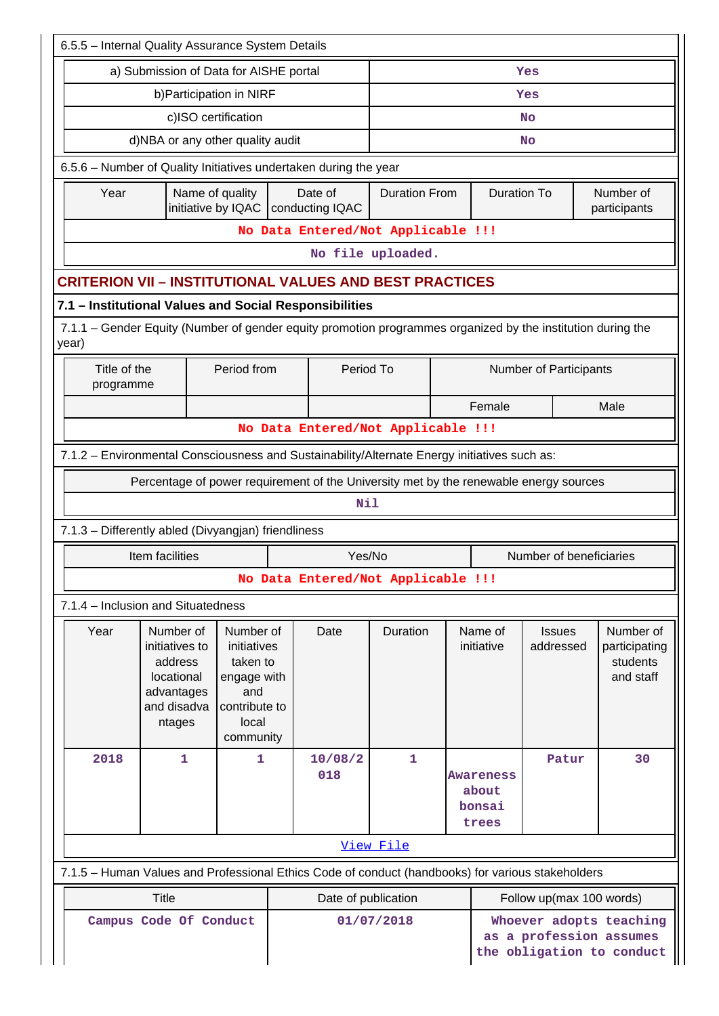| 6.5.5 - Internal Quality Assurance System Details                                                 |                                                                                                             |                                                                                                   |                                                 |                                    |                   |                    |                                                                                 |                               |  |                                                     |  |
|---------------------------------------------------------------------------------------------------|-------------------------------------------------------------------------------------------------------------|---------------------------------------------------------------------------------------------------|-------------------------------------------------|------------------------------------|-------------------|--------------------|---------------------------------------------------------------------------------|-------------------------------|--|-----------------------------------------------------|--|
| a) Submission of Data for AISHE portal<br>Yes                                                     |                                                                                                             |                                                                                                   |                                                 |                                    |                   |                    |                                                                                 |                               |  |                                                     |  |
|                                                                                                   | b) Participation in NIRF                                                                                    |                                                                                                   |                                                 |                                    |                   |                    |                                                                                 | Yes                           |  |                                                     |  |
|                                                                                                   | c)ISO certification                                                                                         |                                                                                                   |                                                 |                                    |                   |                    |                                                                                 | <b>No</b>                     |  |                                                     |  |
|                                                                                                   | d)NBA or any other quality audit                                                                            |                                                                                                   | <b>No</b>                                       |                                    |                   |                    |                                                                                 |                               |  |                                                     |  |
| 6.5.6 - Number of Quality Initiatives undertaken during the year                                  |                                                                                                             |                                                                                                   |                                                 |                                    |                   |                    |                                                                                 |                               |  |                                                     |  |
| Year                                                                                              | Name of quality                                                                                             |                                                                                                   | Date of<br>initiative by IQAC   conducting IQAC | <b>Duration From</b>               |                   | <b>Duration To</b> |                                                                                 | Number of<br>participants     |  |                                                     |  |
|                                                                                                   | No Data Entered/Not Applicable !!!                                                                          |                                                                                                   |                                                 |                                    |                   |                    |                                                                                 |                               |  |                                                     |  |
|                                                                                                   |                                                                                                             |                                                                                                   |                                                 |                                    | No file uploaded. |                    |                                                                                 |                               |  |                                                     |  |
| <b>CRITERION VII - INSTITUTIONAL VALUES AND BEST PRACTICES</b>                                    |                                                                                                             |                                                                                                   |                                                 |                                    |                   |                    |                                                                                 |                               |  |                                                     |  |
| 7.1 - Institutional Values and Social Responsibilities                                            |                                                                                                             |                                                                                                   |                                                 |                                    |                   |                    |                                                                                 |                               |  |                                                     |  |
| year)                                                                                             | 7.1.1 – Gender Equity (Number of gender equity promotion programmes organized by the institution during the |                                                                                                   |                                                 |                                    |                   |                    |                                                                                 |                               |  |                                                     |  |
|                                                                                                   | Title of the<br>Period from<br>programme                                                                    |                                                                                                   |                                                 |                                    | Period To         |                    |                                                                                 | <b>Number of Participants</b> |  |                                                     |  |
|                                                                                                   |                                                                                                             |                                                                                                   |                                                 |                                    |                   |                    | Female                                                                          | Male                          |  |                                                     |  |
|                                                                                                   |                                                                                                             |                                                                                                   |                                                 | No Data Entered/Not Applicable !!! |                   |                    |                                                                                 |                               |  |                                                     |  |
| 7.1.2 - Environmental Consciousness and Sustainability/Alternate Energy initiatives such as:      |                                                                                                             |                                                                                                   |                                                 |                                    |                   |                    |                                                                                 |                               |  |                                                     |  |
|                                                                                                   | Percentage of power requirement of the University met by the renewable energy sources                       |                                                                                                   |                                                 |                                    |                   |                    |                                                                                 |                               |  |                                                     |  |
|                                                                                                   |                                                                                                             |                                                                                                   |                                                 | Nil                                |                   |                    |                                                                                 |                               |  |                                                     |  |
| 7.1.3 - Differently abled (Divyangjan) friendliness                                               |                                                                                                             |                                                                                                   |                                                 |                                    |                   |                    |                                                                                 |                               |  |                                                     |  |
|                                                                                                   | Number of beneficiaries<br>Item facilities<br>Yes/No                                                        |                                                                                                   |                                                 |                                    |                   |                    |                                                                                 |                               |  |                                                     |  |
|                                                                                                   |                                                                                                             |                                                                                                   |                                                 | No Data Entered/Not Applicable !!! |                   |                    |                                                                                 |                               |  |                                                     |  |
| 7.1.4 - Inclusion and Situatedness                                                                |                                                                                                             |                                                                                                   |                                                 |                                    |                   |                    |                                                                                 |                               |  |                                                     |  |
| Year                                                                                              | Number of<br>initiatives to<br>address<br>locational<br>advantages<br>and disadva<br>ntages                 | Number of<br>initiatives<br>taken to<br>engage with<br>and<br>contribute to<br>local<br>community |                                                 | Date                               | Duration          |                    | Name of<br>initiative                                                           | <b>Issues</b><br>addressed    |  | Number of<br>participating<br>students<br>and staff |  |
| 2018                                                                                              | $\mathbf 1$                                                                                                 | 1.                                                                                                |                                                 | 10/08/2<br>018                     | 1                 |                    | <b>Awareness</b><br>about<br>bonsai<br>trees                                    | Patur                         |  | 30                                                  |  |
| View File                                                                                         |                                                                                                             |                                                                                                   |                                                 |                                    |                   |                    |                                                                                 |                               |  |                                                     |  |
| 7.1.5 - Human Values and Professional Ethics Code of conduct (handbooks) for various stakeholders |                                                                                                             |                                                                                                   |                                                 |                                    |                   |                    |                                                                                 |                               |  |                                                     |  |
| <b>Title</b><br>Date of publication<br>Follow up(max 100 words)                                   |                                                                                                             |                                                                                                   |                                                 |                                    |                   |                    |                                                                                 |                               |  |                                                     |  |
| Campus Code Of Conduct                                                                            |                                                                                                             |                                                                                                   |                                                 |                                    | 01/07/2018        |                    | Whoever adopts teaching<br>as a profession assumes<br>the obligation to conduct |                               |  |                                                     |  |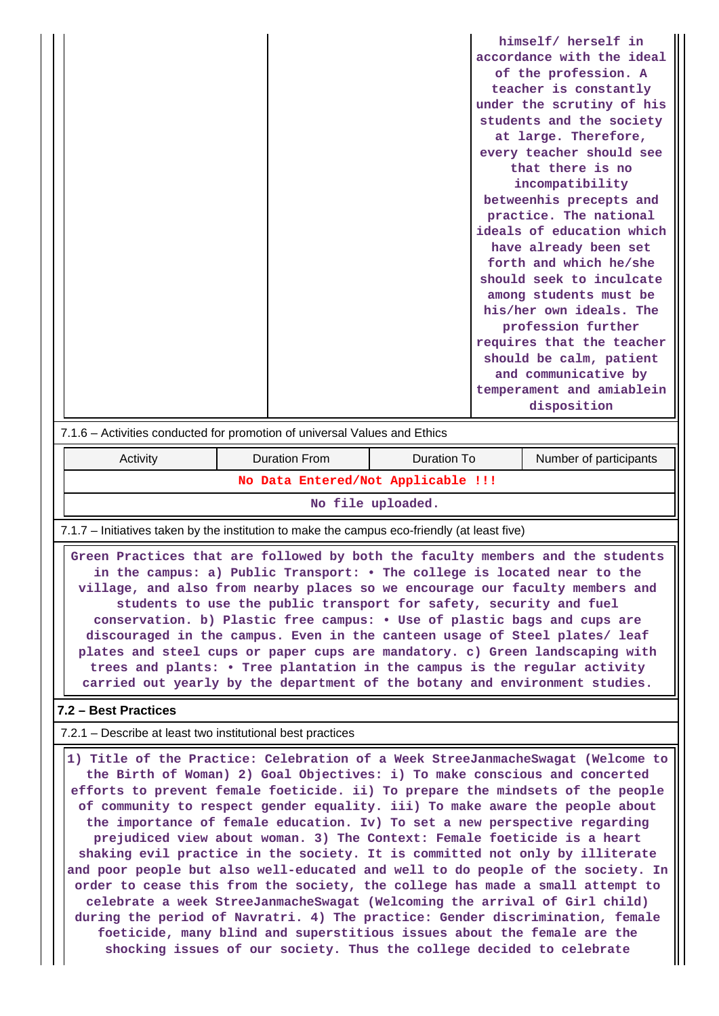|                                                                           |                      |                                              |  | himself/ herself in       |  |  |  |  |
|---------------------------------------------------------------------------|----------------------|----------------------------------------------|--|---------------------------|--|--|--|--|
|                                                                           |                      |                                              |  | accordance with the ideal |  |  |  |  |
|                                                                           |                      |                                              |  | of the profession. A      |  |  |  |  |
|                                                                           |                      |                                              |  | teacher is constantly     |  |  |  |  |
|                                                                           |                      |                                              |  | under the scrutiny of his |  |  |  |  |
|                                                                           |                      |                                              |  | students and the society  |  |  |  |  |
|                                                                           |                      |                                              |  | at large. Therefore,      |  |  |  |  |
|                                                                           |                      |                                              |  | every teacher should see  |  |  |  |  |
|                                                                           |                      |                                              |  | that there is no          |  |  |  |  |
|                                                                           |                      |                                              |  | incompatibility           |  |  |  |  |
|                                                                           |                      |                                              |  | betweenhis precepts and   |  |  |  |  |
|                                                                           |                      |                                              |  | practice. The national    |  |  |  |  |
|                                                                           |                      |                                              |  | ideals of education which |  |  |  |  |
|                                                                           |                      |                                              |  | have already been set     |  |  |  |  |
|                                                                           |                      |                                              |  | forth and which he/she    |  |  |  |  |
|                                                                           |                      |                                              |  | should seek to inculcate  |  |  |  |  |
|                                                                           |                      |                                              |  | among students must be    |  |  |  |  |
|                                                                           |                      |                                              |  | his/her own ideals. The   |  |  |  |  |
|                                                                           |                      |                                              |  | profession further        |  |  |  |  |
|                                                                           |                      |                                              |  | requires that the teacher |  |  |  |  |
|                                                                           |                      |                                              |  | should be calm, patient   |  |  |  |  |
|                                                                           |                      |                                              |  | and communicative by      |  |  |  |  |
|                                                                           |                      |                                              |  | temperament and amiablein |  |  |  |  |
|                                                                           |                      |                                              |  | disposition               |  |  |  |  |
| 7.1.6 - Activities conducted for promotion of universal Values and Ethics |                      |                                              |  |                           |  |  |  |  |
| Activity                                                                  | <b>Duration From</b> | <b>Duration To</b><br>Number of participants |  |                           |  |  |  |  |
| No Data Entered/Not Applicable !!!                                        |                      |                                              |  |                           |  |  |  |  |

**No file uploaded.**

7.1.7 – Initiatives taken by the institution to make the campus eco-friendly (at least five)

 **Green Practices that are followed by both the faculty members and the students in the campus: a) Public Transport: • The college is located near to the village, and also from nearby places so we encourage our faculty members and students to use the public transport for safety, security and fuel conservation. b) Plastic free campus: • Use of plastic bags and cups are discouraged in the campus. Even in the canteen usage of Steel plates/ leaf plates and steel cups or paper cups are mandatory. c) Green landscaping with trees and plants: • Tree plantation in the campus is the regular activity carried out yearly by the department of the botany and environment studies.**

### **7.2 – Best Practices**

7.2.1 – Describe at least two institutional best practices

 **1) Title of the Practice: Celebration of a Week StreeJanmacheSwagat (Welcome to the Birth of Woman) 2) Goal Objectives: i) To make conscious and concerted efforts to prevent female foeticide. ii) To prepare the mindsets of the people of community to respect gender equality. iii) To make aware the people about the importance of female education. Iv) To set a new perspective regarding prejudiced view about woman. 3) The Context: Female foeticide is a heart shaking evil practice in the society. It is committed not only by illiterate and poor people but also well-educated and well to do people of the society. In order to cease this from the society, the college has made a small attempt to celebrate a week StreeJanmacheSwagat (Welcoming the arrival of Girl child) during the period of Navratri. 4) The practice: Gender discrimination, female foeticide, many blind and superstitious issues about the female are the shocking issues of our society. Thus the college decided to celebrate**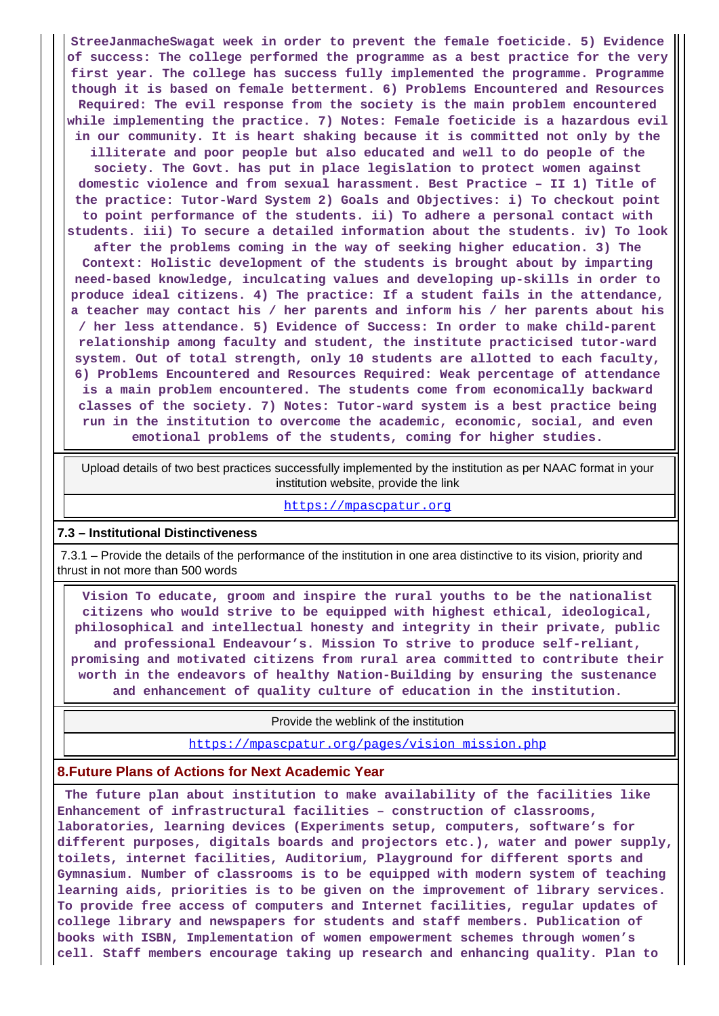**StreeJanmacheSwagat week in order to prevent the female foeticide. 5) Evidence of success: The college performed the programme as a best practice for the very first year. The college has success fully implemented the programme. Programme though it is based on female betterment. 6) Problems Encountered and Resources Required: The evil response from the society is the main problem encountered while implementing the practice. 7) Notes: Female foeticide is a hazardous evil in our community. It is heart shaking because it is committed not only by the illiterate and poor people but also educated and well to do people of the society. The Govt. has put in place legislation to protect women against domestic violence and from sexual harassment. Best Practice – II 1) Title of the practice: Tutor-Ward System 2) Goals and Objectives: i) To checkout point to point performance of the students. ii) To adhere a personal contact with students. iii) To secure a detailed information about the students. iv) To look after the problems coming in the way of seeking higher education. 3) The Context: Holistic development of the students is brought about by imparting need-based knowledge, inculcating values and developing up-skills in order to produce ideal citizens. 4) The practice: If a student fails in the attendance, a teacher may contact his / her parents and inform his / her parents about his / her less attendance. 5) Evidence of Success: In order to make child-parent relationship among faculty and student, the institute practicised tutor-ward system. Out of total strength, only 10 students are allotted to each faculty, 6) Problems Encountered and Resources Required: Weak percentage of attendance is a main problem encountered. The students come from economically backward classes of the society. 7) Notes: Tutor-ward system is a best practice being run in the institution to overcome the academic, economic, social, and even emotional problems of the students, coming for higher studies.**

 Upload details of two best practices successfully implemented by the institution as per NAAC format in your institution website, provide the link

<https://mpascpatur.org>

#### **7.3 – Institutional Distinctiveness**

 7.3.1 – Provide the details of the performance of the institution in one area distinctive to its vision, priority and thrust in not more than 500 words

 **Vision To educate, groom and inspire the rural youths to be the nationalist citizens who would strive to be equipped with highest ethical, ideological, philosophical and intellectual honesty and integrity in their private, public and professional Endeavour's. Mission To strive to produce self-reliant, promising and motivated citizens from rural area committed to contribute their worth in the endeavors of healthy Nation-Building by ensuring the sustenance and enhancement of quality culture of education in the institution.**

Provide the weblink of the institution

[https://mpascpatur.org/pages/vision\\_mission.php](https://mpascpatur.org/pages/vision_mission.php)

### **8.Future Plans of Actions for Next Academic Year**

 **The future plan about institution to make availability of the facilities like Enhancement of infrastructural facilities – construction of classrooms, laboratories, learning devices (Experiments setup, computers, software's for different purposes, digitals boards and projectors etc.), water and power supply, toilets, internet facilities, Auditorium, Playground for different sports and Gymnasium. Number of classrooms is to be equipped with modern system of teaching learning aids, priorities is to be given on the improvement of library services. To provide free access of computers and Internet facilities, regular updates of college library and newspapers for students and staff members. Publication of books with ISBN, Implementation of women empowerment schemes through women's cell. Staff members encourage taking up research and enhancing quality. Plan to**